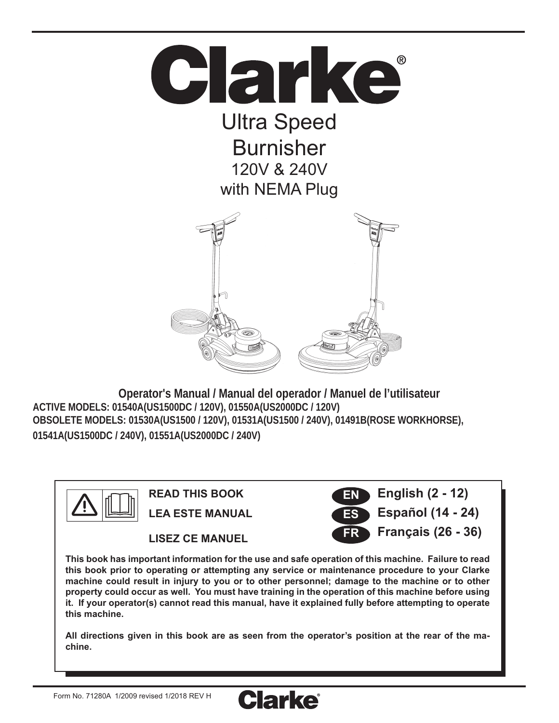

Operator's Manual / Manual del operador / Manuel de l'utilisateur ACTIVE MODELS: 01540A(US1500DC / 120V), 01550A(US2000DC / 120V) OBSOLETE MODELS: 01530A(US1500 / 120V), 01531A(US1500 / 240V), 01491B(ROSE WORKHORSE), 01541A(US1500DC / 240V), 01551A(US2000DC / 240V)



All directions given in this book are as seen from the operator's position at the rear of the machine.

Clarke

Form No. 71280A 1/2009 revised 1/2018 REV H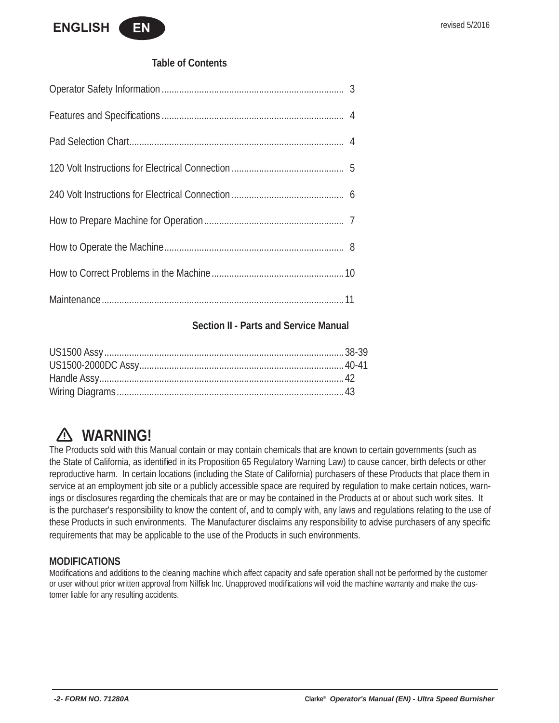## **Table of Contents**

## **Section II - Parts and Service Manual**

# **WARNING!**

The Products sold with this Manual contain or may contain chemicals that are known to certain governments (such as the State of California, as identified in its Proposition 65 Regulatory Warning Law) to cause cancer, birth defects or other reproductive harm. In certain locations (including the State of California) purchasers of these Products that place them in service at an employment job site or a publicly accessible space are required by regulation to make certain notices, warnings or disclosures regarding the chemicals that are or may be contained in the Products at or about such work sites. It is the purchaser's responsibility to know the content of, and to comply with, any laws and regulations relating to the use of these Products in such environments. The Manufacturer disclaims any responsibility to advise purchasers of any specific requirements that may be applicable to the use of the Products in such environments.

## **MODIFICATIONS**

Modifications and additions to the cleaning machine which affect capacity and safe operation shall not be performed by the customer or user without prior written approval from Nilfisk Inc. Unapproved modifications will void the machine warranty and make the customer liable for any resulting accidents.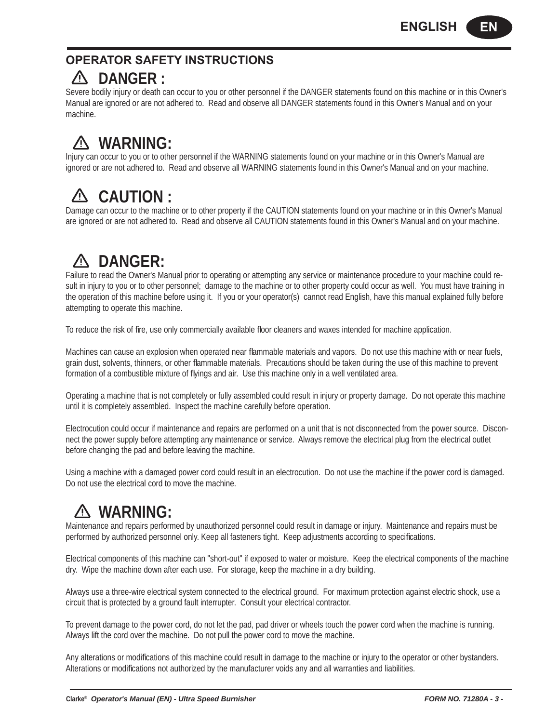## **OPERATOR SAFETY INSTRUCTIONS**

# **DANGER :**

Severe bodily injury or death can occur to you or other personnel if the DANGER statements found on this machine or in this Owner's Manual are ignored or are not adhered to. Read and observe all DANGER statements found in this Owner's Manual and on your machine.

# **WARNING:**

Injury can occur to you or to other personnel if the WARNING statements found on your machine or in this Owner's Manual are ignored or are not adhered to. Read and observe all WARNING statements found in this Owner's Manual and on your machine.

# **CAUTION :**

Damage can occur to the machine or to other property if the CAUTION statements found on your machine or in this Owner's Manual are ignored or are not adhered to. Read and observe all CAUTION statements found in this Owner's Manual and on your machine.

# **DANGER:**

Failure to read the Owner's Manual prior to operating or attempting any service or maintenance procedure to your machine could result in injury to you or to other personnel; damage to the machine or to other property could occur as well. You must have training in the operation of this machine before using it. If you or your operator(s) cannot read English, have this manual explained fully before attempting to operate this machine.

To reduce the risk of fire, use only commercially available floor cleaners and waxes intended for machine application.

Machines can cause an explosion when operated near flammable materials and vapors. Do not use this machine with or near fuels, grain dust, solvents, thinners, or other flammable materials. Precautions should be taken during the use of this machine to prevent formation of a combustible mixture of flyings and air. Use this machine only in a well ventilated area.

Operating a machine that is not completely or fully assembled could result in injury or property damage. Do not operate this machine until it is completely assembled. Inspect the machine carefully before operation.

Electrocution could occur if maintenance and repairs are performed on a unit that is not disconnected from the power source. Disconnect the power supply before attempting any maintenance or service. Always remove the electrical plug from the electrical outlet before changing the pad and before leaving the machine.

Using a machine with a damaged power cord could result in an electrocution. Do not use the machine if the power cord is damaged. Do not use the electrical cord to move the machine.

# **WARNING:**

Maintenance and repairs performed by unauthorized personnel could result in damage or injury. Maintenance and repairs must be performed by authorized personnel only. Keep all fasteners tight. Keep adjustments according to specifications.

Electrical components of this machine can "short-out" if exposed to water or moisture. Keep the electrical components of the machine dry. Wipe the machine down after each use. For storage, keep the machine in a dry building.

Always use a three-wire electrical system connected to the electrical ground. For maximum protection against electric shock, use a circuit that is protected by a ground fault interrupter. Consult your electrical contractor.

To prevent damage to the power cord, do not let the pad, pad driver or wheels touch the power cord when the machine is running. Always lift the cord over the machine. Do not pull the power cord to move the machine.

Any alterations or modifications of this machine could result in damage to the machine or injury to the operator or other bystanders. Alterations or modifications not authorized by the manufacturer voids any and all warranties and liabilities.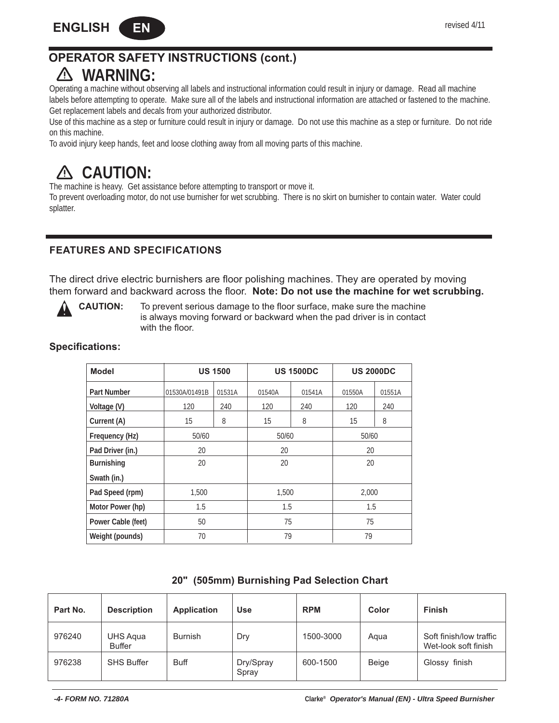## **OPERATOR SAFETY INSTRUCTIONS (cont.)**

# **WARNING:**

Operating a machine without observing all labels and instructional information could result in injury or damage. Read all machine labels before attempting to operate. Make sure all of the labels and instructional information are attached or fastened to the machine. Get replacement labels and decals from your authorized distributor.

Use of this machine as a step or furniture could result in injury or damage. Do not use this machine as a step or furniture. Do not ride on this machine.

To avoid injury keep hands, feet and loose clothing away from all moving parts of this machine.

# **CAUTION:**

The machine is heavy. Get assistance before attempting to transport or move it.

To prevent overloading motor, do not use burnisher for wet scrubbing. There is no skirt on burnisher to contain water. Water could splatter.

## **FEATURES AND SPECIFICATIONS**

The direct drive electric burnishers are floor polishing machines. They are operated by moving them forward and backward across the floor. Note: Do not use the machine for wet scrubbing.



**CAUTION:** To prevent serious damage to the floor surface, make sure the machine is always moving forward or backward when the pad driver is in contact with the floor.

### **Specifications:**

| <b>Model</b>       |               | <b>US 1500</b> |        | <b>US 1500DC</b> |        | <b>US 2000DC</b> |  |
|--------------------|---------------|----------------|--------|------------------|--------|------------------|--|
| Part Number        | 01530A/01491B | 01531A         | 01540A | 01541A           | 01550A | 01551A           |  |
| Voltage (V)        | 120           | 240            | 120    | 240              | 120    | 240              |  |
| Current (A)        | 15            | 8              | 15     | 8                | 15     | 8                |  |
| Frequency (Hz)     | 50/60         |                | 50/60  |                  | 50/60  |                  |  |
| Pad Driver (in.)   | 20            |                | 20     |                  | 20     |                  |  |
| <b>Burnishing</b>  | 20            |                | 20     |                  | 20     |                  |  |
| Swath (in.)        |               |                |        |                  |        |                  |  |
| Pad Speed (rpm)    | 1,500         |                | 1,500  |                  | 2,000  |                  |  |
| Motor Power (hp)   | 1.5           |                | 1.5    |                  | 1.5    |                  |  |
| Power Cable (feet) | 50            |                | 75     |                  | 75     |                  |  |
| Weight (pounds)    | 70            |                |        | 79               |        | 79               |  |

### 20" (505mm) Burnishing Pad Selection Chart

| Part No. | <b>Description</b>               | <b>Application</b> | <b>Use</b>         | <b>RPM</b> | <b>Color</b> | <b>Finish</b>                                   |
|----------|----------------------------------|--------------------|--------------------|------------|--------------|-------------------------------------------------|
| 976240   | <b>UHS Agua</b><br><b>Buffer</b> | <b>Burnish</b>     | Dry                | 1500-3000  | Aqua         | Soft finish/low traffic<br>Wet-look soft finish |
| 976238   | <b>SHS Buffer</b>                | Buff               | Dry/Spray<br>Spray | 600-1500   | Beige        | Glossy finish                                   |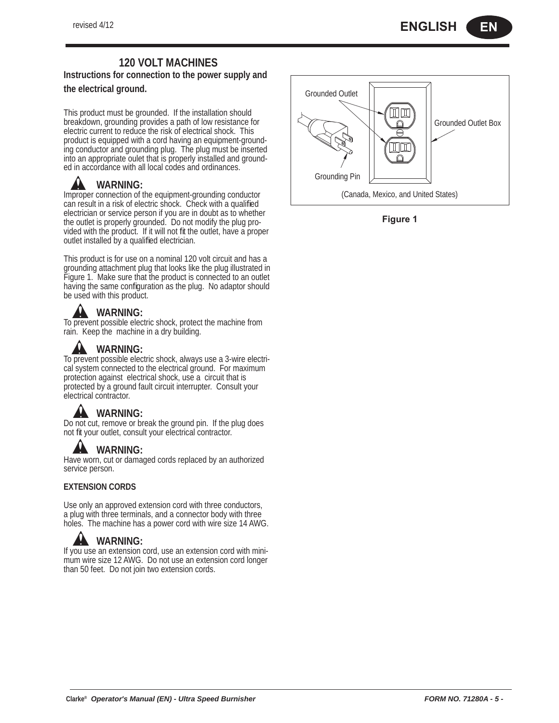### **120 VOLT MACHINES Instructions for connection to the power supply and the electrical ground.**

This product must be grounded. If the installation should breakdown, grounding provides a path of low resistance for electric current to reduce the risk of electrical shock. This product is equipped with a cord having an equipment-grounding conductor and grounding plug. The plug must be inserted into an appropriate oulet that is properly installed and grounded in accordance with all local codes and ordinances.

### **WARNING:**

Improper connection of the equipment-grounding conductor can result in a risk of electric shock. Check with a qualified electrician or service person if you are in doubt as to whether the outlet is properly grounded. Do not modify the plug provided with the product. If it will not fit the outlet, have a proper outlet installed by a qualified electrician.

This product is for use on a nominal 120 volt circuit and has a grounding attachment plug that looks like the plug illustrated in Figure 1. Make sure that the product is connected to an outlet having the same configuration as the plug. No adaptor should be used with this product.

## **WARNING:**

To prevent possible electric shock, protect the machine from rain. Keep the machine in a dry building.

## **WARNING:**

To prevent possible electric shock, always use a 3-wire electrical system connected to the electrical ground. For maximum protection against electrical shock, use a circuit that is protected by a ground fault circuit interrupter. Consult your electrical contractor.

## **WARNING:**

Do not cut, remove or break the ground pin. If the plug does not fit your outlet, consult your electrical contractor.

### **WARNING:**

Have worn, cut or damaged cords replaced by an authorized service person.

### **EXTENSION CORDS**

Use only an approved extension cord with three conductors, a plug with three terminals, and a connector body with three holes. The machine has a power cord with wire size 14 AWG.

## **WARNING:**

If you use an extension cord, use an extension cord with minimum wire size 12 AWG. Do not use an extension cord longer than 50 feet. Do not join two extension cords.



**Figure 1**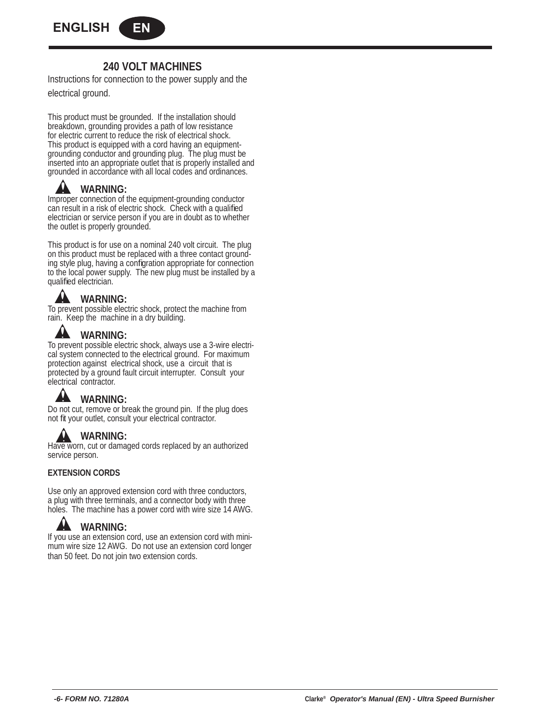## **240 VOLT MACHINES**

Instructions for connection to the power supply and the electrical ground.

This product must be grounded. If the installation should breakdown, grounding provides a path of low resistance for electric current to reduce the risk of electrical shock. This product is equipped with a cord having an equipmentgrounding conductor and grounding plug. The plug must be inserted into an appropriate outlet that is properly installed and grounded in accordance with all local codes and ordinances.

## **WARNING:**

Improper connection of the equipment-grounding conductor can result in a risk of electric shock. Check with a qualified electrician or service person if you are in doubt as to whether the outlet is properly grounded.

This product is for use on a nominal 240 volt circuit. The plug on this product must be replaced with a three contact grounding style plug, having a configration appropriate for connection to the local power supply. The new plug must be installed by a qualified electrician.

## **WARNING:**

To prevent possible electric shock, protect the machine from rain. Keep the machine in a dry building.

## **WARNING:**

To prevent possible electric shock, always use a 3-wire electrical system connected to the electrical ground. For maximum protection against electrical shock, use a circuit that is protected by a ground fault circuit interrupter. Consult your electrical contractor.

#### AN **WARNING:**

Do not cut, remove or break the ground pin. If the plug does not fit your outlet, consult your electrical contractor.

## **WARNING:**

Have worn, cut or damaged cords replaced by an authorized service person.

### **EXTENSION CORDS**

Use only an approved extension cord with three conductors, a plug with three terminals, and a connector body with three holes. The machine has a power cord with wire size 14 AWG.

## **WARNING:**

If you use an extension cord, use an extension cord with minimum wire size 12 AWG. Do not use an extension cord longer than 50 feet. Do not join two extension cords.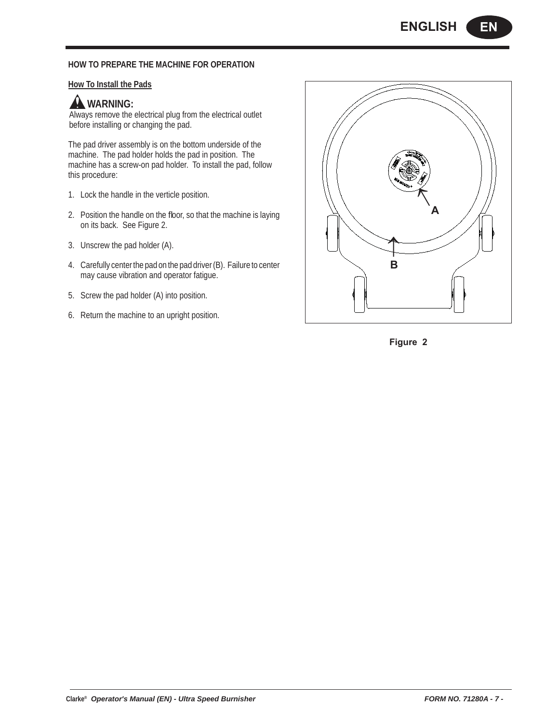#### **HOW TO PREPARE THE MACHINE FOR OPERATION**

#### **How To Install the Pads**

## **A** WARNING:

Always remove the electrical plug from the electrical outlet before installing or changing the pad.

The pad driver assembly is on the bottom underside of the machine. The pad holder holds the pad in position. The machine has a screw-on pad holder. To install the pad, follow this procedure:

- 1. Lock the handle in the verticle position.
- 2. Position the handle on the floor, so that the machine is laying on its back. See Figure 2.
- 3. Unscrew the pad holder (A).
- 4. Carefully center the pad on the pad driver (B). Failure to center may cause vibration and operator fatigue.
- 5. Screw the pad holder (A) into position.
- 6. Return the machine to an upright position.



**Figure 2**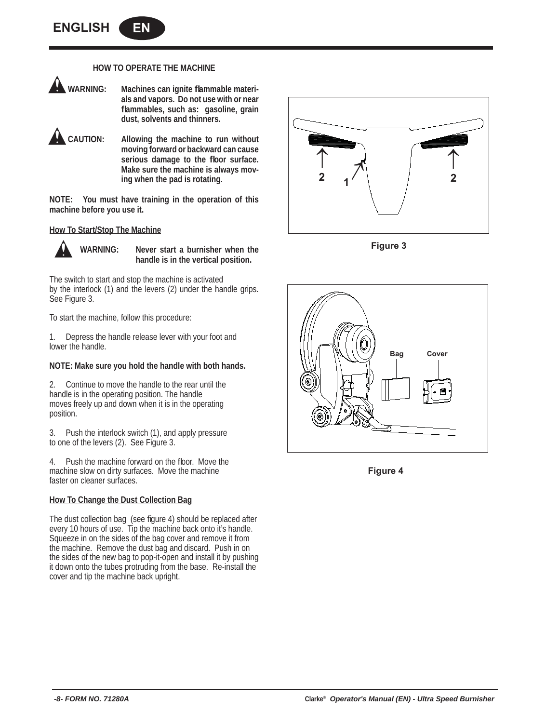#### **HOW TO OPERATE THE MACHINE**



WARNING: Machines can ignite flammable materi**als and vapors. Do not use with or near fl ammables, such as: gasoline, grain dust, solvents and thinners.**

**CAUTION: Allowing the machine to run without moving forward or backward can cause serious damage to the fl oor surface. Make sure the machine is always moving when the pad is rotating.**

**NOTE: You must have training in the operation of this machine before you use it.**

#### **How To Start/Stop The Machine**



**WARNING: Never start a burnisher when the handle is in the vertical position.** 

The switch to start and stop the machine is activated by the interlock (1) and the levers (2) under the handle grips. See Figure 3.

To start the machine, follow this procedure:

1. Depress the handle release lever with your foot and lower the handle.

#### **NOTE: Make sure you hold the handle with both hands.**

2. Continue to move the handle to the rear until the handle is in the operating position. The handle moves freely up and down when it is in the operating position.

3. Push the interlock switch (1), and apply pressure to one of the levers (2). See Figure 3.

4. Push the machine forward on the floor. Move the machine slow on dirty surfaces. Move the machine faster on cleaner surfaces.

#### **How To Change the Dust Collection Bag**

The dust collection bag (see figure 4) should be replaced after every 10 hours of use. Tip the machine back onto it's handle. Squeeze in on the sides of the bag cover and remove it from the machine. Remove the dust bag and discard. Push in on the sides of the new bag to pop-it-open and install it by pushing it down onto the tubes protruding from the base. Re-install the cover and tip the machine back upright.



**Figure 3** 



**Figure 4**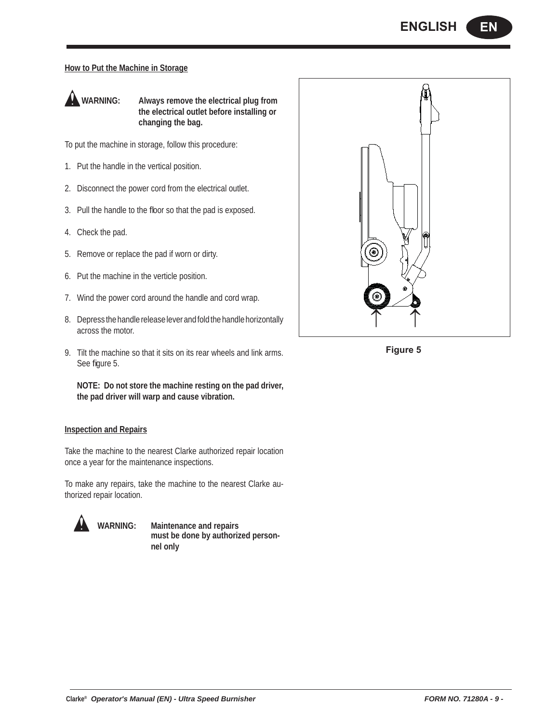#### **How to Put the Machine in Storage**

**WARNING: Always remove the electrical plug from the electrical outlet before installing or changing the bag.**

To put the machine in storage, follow this procedure:

- 1. Put the handle in the vertical position.
- 2. Disconnect the power cord from the electrical outlet.
- 3. Pull the handle to the floor so that the pad is exposed.
- 4. Check the pad.
- 5. Remove or replace the pad if worn or dirty.
- 6. Put the machine in the verticle position.
- 7. Wind the power cord around the handle and cord wrap.
- 8. Depress the handle release lever and fold the handle horizontally across the motor.
- 9. Tilt the machine so that it sits on its rear wheels and link arms. See figure 5.

**NOTE: Do not store the machine resting on the pad driver, the pad driver will warp and cause vibration.**

#### **Inspection and Repairs**

Take the machine to the nearest Clarke authorized repair location once a year for the maintenance inspections.

To make any repairs, take the machine to the nearest Clarke authorized repair location.



**WARNING: Maintenance and repairs must be done by authorized personnel only**



**Figure 5**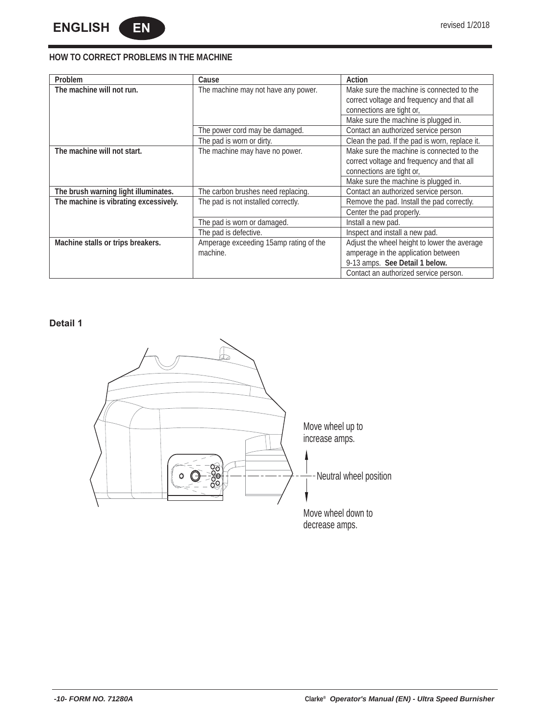### **HOW TO CORRECT PROBLEMS IN THE MACHINE**

| Problem                               | Cause                                  | Action                                         |
|---------------------------------------|----------------------------------------|------------------------------------------------|
| The machine will not run.             | The machine may not have any power.    | Make sure the machine is connected to the      |
|                                       |                                        |                                                |
|                                       |                                        | correct voltage and frequency and that all     |
|                                       |                                        | connections are tight or,                      |
|                                       |                                        | Make sure the machine is plugged in.           |
|                                       | The power cord may be damaged.         | Contact an authorized service person           |
|                                       | The pad is worn or dirty.              | Clean the pad. If the pad is worn, replace it. |
| The machine will not start.           | The machine may have no power.         | Make sure the machine is connected to the      |
|                                       |                                        | correct voltage and frequency and that all     |
|                                       |                                        | connections are tight or,                      |
|                                       |                                        | Make sure the machine is plugged in.           |
| The brush warning light illuminates.  | The carbon brushes need replacing.     | Contact an authorized service person.          |
| The machine is vibrating excessively. | The pad is not installed correctly.    | Remove the pad. Install the pad correctly.     |
|                                       |                                        | Center the pad properly.                       |
|                                       | The pad is worn or damaged.            | Install a new pad.                             |
|                                       | The pad is defective.                  | Inspect and install a new pad.                 |
| Machine stalls or trips breakers.     | Amperage exceeding 15amp rating of the | Adjust the wheel height to lower the average   |
|                                       | machine.                               | amperage in the application between            |
|                                       |                                        | 9-13 amps. See Detail 1 below.                 |
|                                       |                                        | Contact an authorized service person.          |

### Detail 1

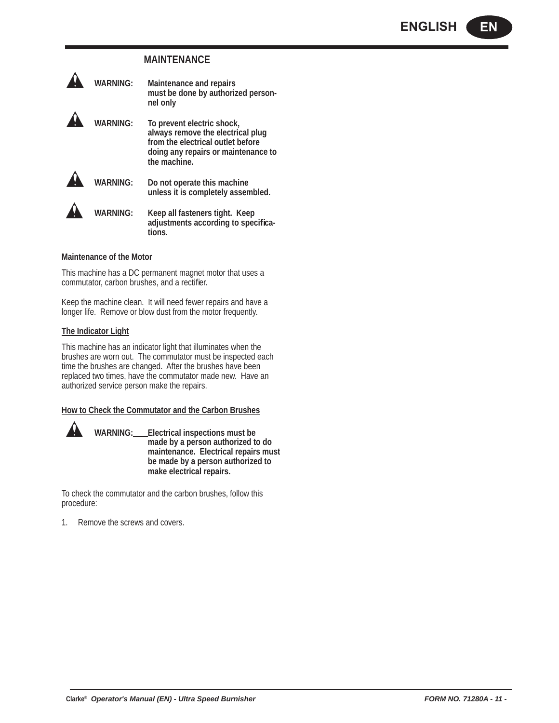### **MAINTENANCE**

| <b>WARNING:</b> | Maintenance and repairs<br>must be done by authorized person-<br>nel only                                                                                   |
|-----------------|-------------------------------------------------------------------------------------------------------------------------------------------------------------|
| <b>WARNING:</b> | To prevent electric shock,<br>always remove the electrical plug<br>from the electrical outlet before<br>doing any repairs or maintenance to<br>the machine. |
| <b>WARNING:</b> | Do not operate this machine<br>unless it is completely assembled.                                                                                           |
| <b>WARNING:</b> | Keep all fasteners tight. Keep                                                                                                                              |

 **adjustments according to specifi ca-**

#### **Maintenance of the Motor**

This machine has a DC permanent magnet motor that uses a commutator, carbon brushes, and a rectifier.

**tions.**

Keep the machine clean. It will need fewer repairs and have a longer life. Remove or blow dust from the motor frequently.

#### **The Indicator Light**

This machine has an indicator light that illuminates when the brushes are worn out. The commutator must be inspected each time the brushes are changed. After the brushes have been replaced two times, have the commutator made new. Have an authorized service person make the repairs.

**How to Check the Commutator and the Carbon Brushes**



**WARNING: Electrical inspections must be made by a person authorized to do maintenance. Electrical repairs must be made by a person authorized to make electrical repairs.**

To check the commutator and the carbon brushes, follow this procedure:

1. Remove the screws and covers.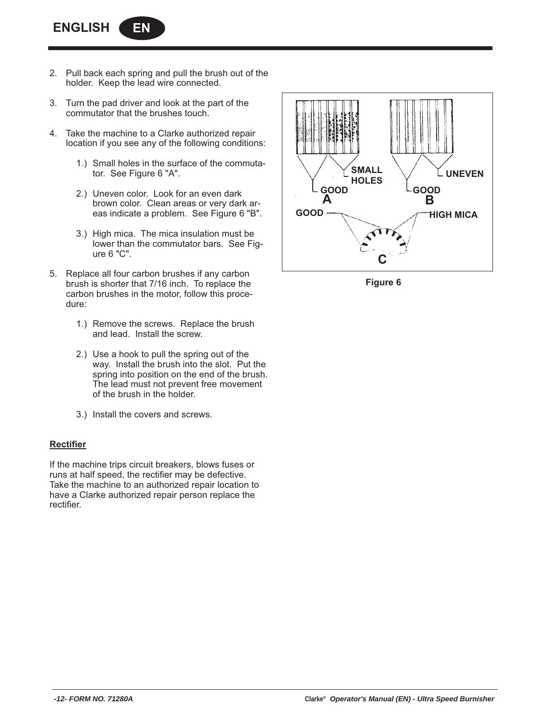- 2. Pull back each spring and pull the brush out of the holder. Keep the lead wire connected.
- 3. Turn the pad driver and look at the part of the commutator that the brushes touch.
- 4. Take the machine to a Clarke authorized repair location if you see any of the following conditions:
	- 1.) Small holes in the surface of the commutator. See Figure 6 "A".
	- 2.) Uneven color. Look for an even dark brown color. Clean areas or very dark areas indicate a problem. See Figure 6 "B".
	- 3.) High mica. The mica insulation must be lower than the commutator bars. See Fig $ure 6 "C".$
- 5. Replace all four carbon brushes if any carbon brush is shorter that 7/16 inch. To replace the carbon brushes in the motor, follow this procedure:
	- 1.) Remove the screws. Replace the brush and lead. Install the screw.
	- 2.) Use a hook to pull the spring out of the way. Install the brush into the slot. Put the spring into position on the end of the brush. The lead must not prevent free movement of the brush in the holder.
	- 3.) Install the covers and screws.

#### **Rectifier**

If the machine trips circuit breakers, blows fuses or runs at half speed, the rectifier may be defective. Take the machine to an authorized repair location to have a Clarke authorized repair person replace the rectifier.



Figure 6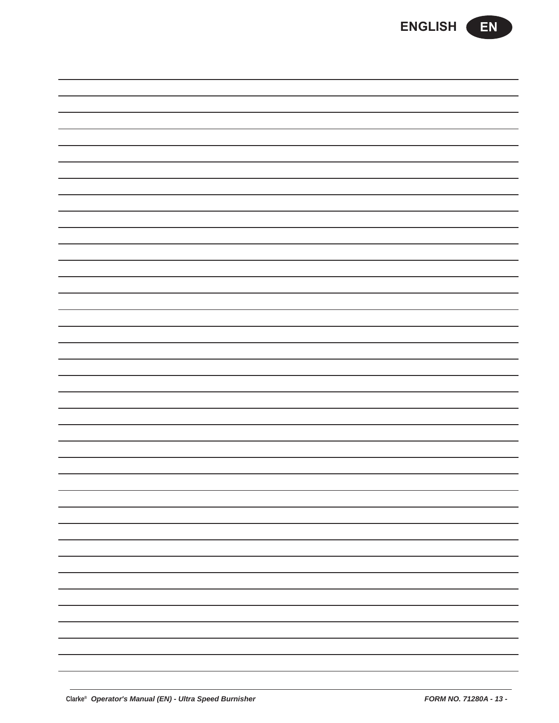

| - |
|---|
| ۰ |
|   |
| - |
| ۰ |
| - |
| - |
|   |
| - |
|   |
| - |
|   |
|   |
|   |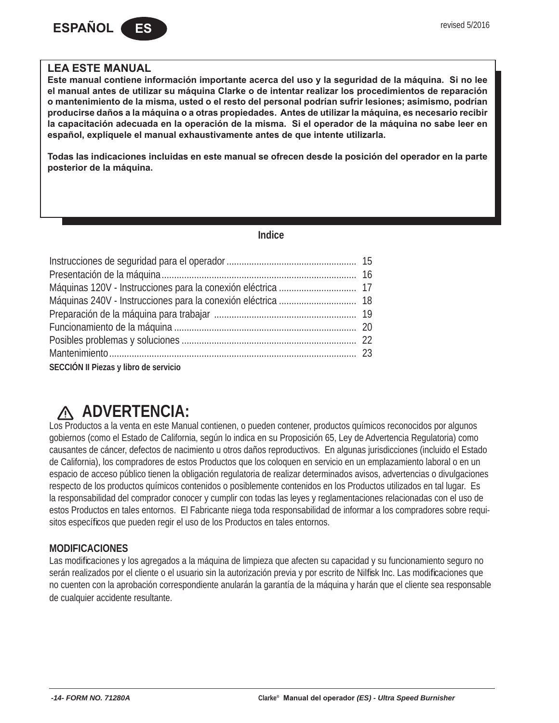

### **LEA ESTE MANUAL**

Este manual contiene información importante acerca del uso y la seguridad de la máguina. Si no lee el manual antes de utilizar su máquina Clarke o de intentar realizar los procedimientos de reparación o mantenimiento de la misma, usted o el resto del personal podrían sufrir lesiones; asimismo, podrían producirse daños a la máquina o a otras propiedades. Antes de utilizar la máquina, es necesario recibir la capacitación adecuada en la operación de la misma. Si el operador de la máquina no sabe leer en español, explíquele el manual exhaustivamente antes de que intente utilizarla.

Todas las indicaciones incluidas en este manual se ofrecen desde la posición del operador en la parte posterior de la máquina.

#### **Indice**

| SECCIÓN II Piezas y libro de servicio |  |
|---------------------------------------|--|

# **ADVERTENCIA:**

Los Productos a la venta en este Manual contienen, o pueden contener, productos químicos reconocidos por algunos gobiernos (como el Estado de California, según lo indica en su Proposición 65, Ley de Advertencia Regulatoria) como causantes de cáncer, defectos de nacimiento u otros daños reproductivos. En algunas jurisdicciones (incluido el Estado de California), los compradores de estos Productos que los coloquen en servicio en un emplazamiento laboral o en un espacio de acceso público tienen la obligación regulatoria de realizar determinados avisos, advertencias o divulgaciones respecto de los productos químicos contenidos o posiblemente contenidos en los Productos utilizados en tal lugar. Es la responsabilidad del comprador conocer y cumplir con todas las leyes y reglamentaciones relacionadas con el uso de estos Productos en tales entornos. El Fabricante niega toda responsabilidad de informar a los compradores sobre requisitos específicos que pueden regir el uso de los Productos en tales entornos.

### **MODIFICACIONES**

Las modificaciones y los agregados a la máquina de limpieza que afecten su capacidad y su funcionamiento seguro no serán realizados por el cliente o el usuario sin la autorización previa y por escrito de Nilfisk Inc. Las modificaciones que no cuenten con la aprobación correspondiente anularán la garantía de la máquina y harán que el cliente sea responsable de cualquier accidente resultante.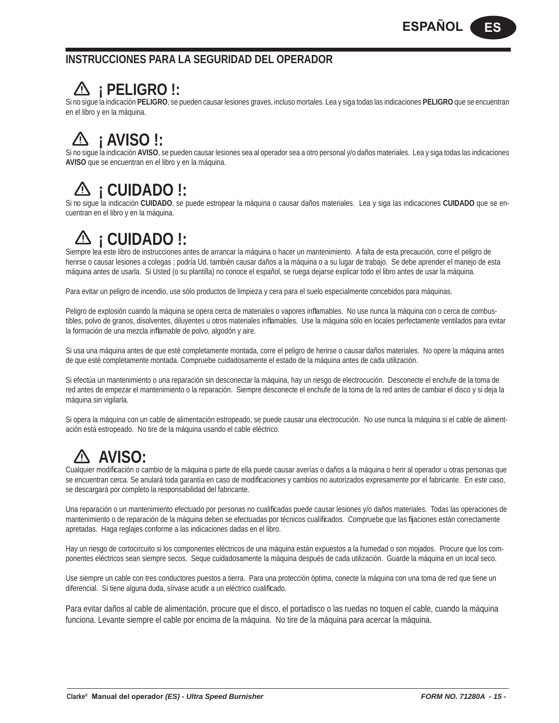## **INSTRUCCIONES PARA LA SEGURIDAD DEL OPERADOR**

# **¡ PELIGRO !:**

Si no sigue la indicación **PELIGRO**, se pueden causar lesiones graves, incluso mortales. Lea y siga todas las indicaciones **PELIGRO** que se encuentran en el libro y en la máquina.

# **AVISO !:**

Si no sigue la indicación **AVISO**, se pueden causar lesiones sea al operador sea a otro personal y/o daños materiales. Lea y siga todas las indicaciones **AVISO** que se encuentran en el libro y en la máquina.

# **¡ CUIDADO !:**

Si no sigue la indicación **CUIDADO**, se puede estropear la máquina o causar daños materiales. Lea y siga las indicaciones **CUIDADO** que se encuentran en el libro y en la máquina.

# **¡ CUIDADO !:**

Siempre lea este libro de instrucciones antes de arrancar la máquina o hacer un mantenimiento. A falta de esta precaución, corre el peligro de herirse o causar lesiones a colegas ; podría Ud. también causar daños a la máquina o a su lugar de trabajo. Se debe aprender el manejo de esta máquina antes de usarla. Si Usted (o su plantilla) no conoce el español, se ruega dejarse explicar todo el libro antes de usar la máquina.

Para evitar un peligro de incendio, use sólo productos de limpieza y cera para el suelo especialmente concebidos para máquinas.

Peligro de explosión cuando la máquina se opera cerca de materiales o vapores inflamables. No use nunca la máquina con o cerca de combustibles, polvo de granos, disolventes, diluyentes u otros materiales inflamables. Use la máquina sólo en locales perfectamente ventilados para evitar la formación de una mezcla inflamable de polvo, algodón y aire.

Si usa una máquina antes de que esté completamente montada, corre el peligro de herirse o causar daños materiales. No opere la máquina antes de que esté completamente montada. Compruebe cuidadosamente el estado de la máquina antes de cada utilización.

Si efectúa un mantenimiento o una reparación sin desconectar la máquina, hay un riesgo de electrocución. Desconecte el enchufe de la toma de red antes de empezar el mantenimiento o la reparación. Siempre desconecte el enchufe de la toma de la red antes de cambiar el disco y si deja la máquina sin vigilarla.

Si opera la máquina con un cable de alimentación estropeado, se puede causar una electrocución. No use nunca la máquina si el cable de alimentación está estropeado. No tire de la máquina usando el cable eléctrico.

# **AVISO:**

Cualquier modificación o cambio de la máquina o parte de ella puede causar averías o daños a la máquina o herir al operador u otras personas que se encuentran cerca. Se anulará toda garantía en caso de modificaciones y cambios no autorizados expresamente por el fabricante. En este caso, se descargará por completo la responsabilidad del fabricante.

Una reparación o un mantenimiento efectuado por personas no cualificadas puede causar lesiones y/o daños materiales. Todas las operaciones de mantenimiento o de reparación de la máquina deben se efectuadas por técnicos cualificados. Compruebe que las fijaciones están correctamente apretadas. Haga reglajes conforme a las indicaciones dadas en el libro.

Hay un riesgo de cortocircuito si los componentes eléctricos de una máquina están expuestos a la humedad o son mojados. Procure que los componentes eléctricos sean siempre secos. Seque cuidadosamente la máquina después de cada utilización. Guarde la máquina en un local seco.

Use siempre un cable con tres conductores puestos a tierra. Para una protección óptima, conecte la máquina con una toma de red que tiene un diferencial. Si tiene alguna duda, sírvase acudir a un eléctrico cualificado.

Para evitar daños al cable de alimentación, procure que el disco, el portadisco o las ruedas no toquen el cable, cuando la máquina funciona. Levante siempre el cable por encima de la máquina. No tire de la máquina para acercar la máquina.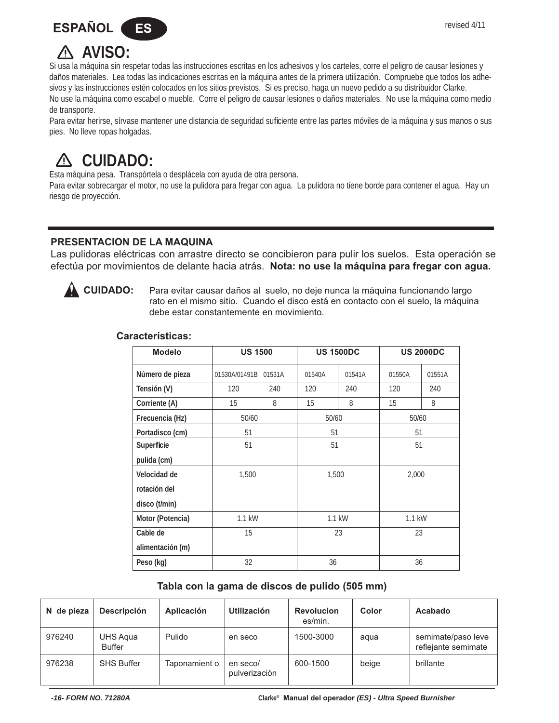

# $\wedge$  AVISO:

Si usa la máquina sin respetar todas las instrucciones escritas en los adhesivos y los carteles, corre el peligro de causar lesiones y daños materiales. Lea todas las indicaciones escritas en la máquina antes de la primera utilización. Compruebe que todos los adhesivos y las instrucciones estén colocados en los sitios previstos. Si es preciso, haga un nuevo pedido a su distribuidor Clarke. No use la máquina como escabel o mueble. Corre el peligro de causar lesiones o daños materiales. No use la máquina como medio de transporte.

Para evitar herirse, sírvase mantener une distancia de seguridad suficiente entre las partes móviles de la máquina y sus manos o sus pies. No lleve ropas holgadas.

# **CUIDADO:**

Esta máquina pesa. Transpórtela o desplácela con ayuda de otra persona.

Para evitar sobrecargar el motor, no use la pulidora para fregar con agua. La pulidora no tiene borde para contener el agua. Hay un riesgo de proyección.

## PRESENTACION DE LA MAQUINA

Las pulidoras eléctricas con arrastre directo se concibieron para pulir los suelos. Esta operación se efectúa por movimientos de delante hacia atrás. Nota: no use la máquina para fregar con agua.



Para evitar causar daños al suelo, no deje nunca la máquina funcionando largo rato en el mismo sitio. Cuando el disco está en contacto con el suelo, la máquina debe estar constantemente en movimiento.

### Características:

| <b>Modelo</b>    |               | <b>US 1500</b><br><b>US 1500DC</b><br><b>US 2000DC</b> |          |        |          |        |
|------------------|---------------|--------------------------------------------------------|----------|--------|----------|--------|
| Número de pieza  | 01530A/01491B | 01531A                                                 | 01540A   | 01541A | 01550A   | 01551A |
| Tensión (V)      | 120           | 240                                                    | 120      | 240    | 120      | 240    |
| Corriente (A)    | 15            | 8                                                      | 15       | 8      | 15       | 8      |
| Frecuencia (Hz)  | 50/60         |                                                        | 50/60    |        | 50/60    |        |
| Portadisco (cm)  | 51            |                                                        | 51       |        | 51       |        |
| Superficie       | 51            | 51                                                     |          |        | 51       |        |
| pulida (cm)      |               |                                                        |          |        |          |        |
| Velocidad de     | 1,500         |                                                        | 1,500    |        | 2,000    |        |
| rotación del     |               |                                                        |          |        |          |        |
| disco (t/min)    |               |                                                        |          |        |          |        |
| Motor (Potencia) | $1.1$ kW      |                                                        | $1.1$ kW |        | $1.1$ kW |        |
| Cable de         | 15            |                                                        | 23       |        | 23       |        |
| alimentación (m) |               |                                                        |          |        |          |        |
| Peso (kg)        | 32<br>36      |                                                        |          | 36     |          |        |

### Tabla con la gama de discos de pulido (505 mm)

| N de pieza | <b>Descripción</b>               | <b>Aplicación</b> | Utilización               | <b>Revolucion</b><br>es/min. | Color | Acabado                                   |
|------------|----------------------------------|-------------------|---------------------------|------------------------------|-------|-------------------------------------------|
| 976240     | <b>UHS Agua</b><br><b>Buffer</b> | Pulido            | en seco                   | 1500-3000                    | aqua  | semimate/paso leve<br>reflejante semimate |
| 976238     | <b>SHS Buffer</b>                | Taponamient o     | en seco/<br>pulverización | 600-1500                     | beige | brillante                                 |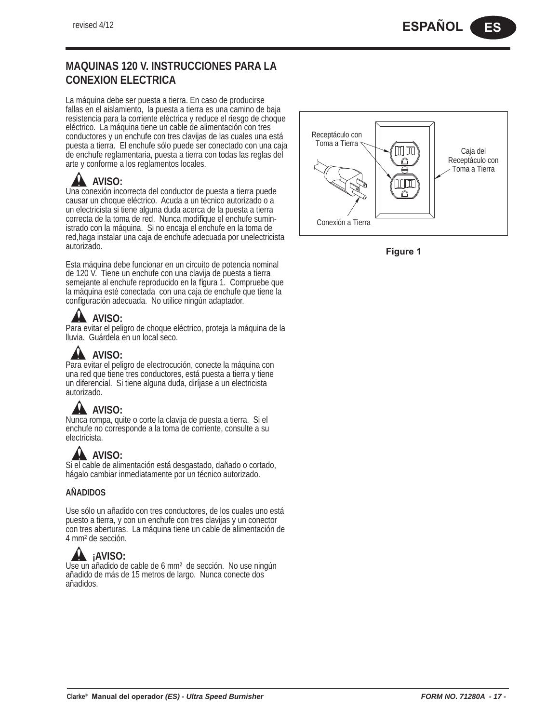## **MAQUINAS 120 V. INSTRUCCIONES PARA LA CONEXION ELECTRICA**

La máquina debe ser puesta a tierra. En caso de producirse fallas en el aislamiento, la puesta a tierra es una camino de baja resistencia para la corriente eléctrica y reduce el riesgo de choque eléctrico. La máquina tiene un cable de alimentación con tres conductores y un enchufe con tres clavijas de las cuales una está puesta a tierra. El enchufe sólo puede ser conectado con una caja de enchufe reglamentaria, puesta a tierra con todas las reglas del arte y conforme a los reglamentos locales.

## **AVISO:**

Una conexión incorrecta del conductor de puesta a tierra puede causar un choque eléctrico. Acuda a un técnico autorizado o a un electricista si tiene alguna duda acerca de la puesta a tierra correcta de la toma de red. Nunca modifique el enchufe suministrado con la máquina. Si no encaja el enchufe en la toma de red,haga instalar una caja de enchufe adecuada por unelectricista autorizado.

Esta máquina debe funcionar en un circuito de potencia nominal de 120 V. Tiene un enchufe con una clavija de puesta a tierra semejante al enchufe reproducido en la figura 1. Compruebe que la máquina esté conectada con una caja de enchufe que tiene la configuración adecuada. No utilice ningún adaptador.

## **AVISO:**

Para evitar el peligro de choque eléctrico, proteja la máquina de la lluvia. Guárdela en un local seco.

# **AVISO:**

Para evitar el peligro de electrocución, conecte la máquina con una red que tiene tres conductores, está puesta a tierra y tiene un diferencial. Si tiene alguna duda, diríjase a un electricista autorizado.

## **AVISO:**

Nunca rompa, quite o corte la clavija de puesta a tierra. Si el enchufe no corresponde a la toma de corriente, consulte a su electricista.

## **AVISO:**

Si el cable de alimentación está desgastado, dañado o cortado, hágalo cambiar inmediatamente por un técnico autorizado.

### **AÑADIDOS**

Use sólo un añadido con tres conductores, de los cuales uno está puesto a tierra, y con un enchufe con tres clavijas y un conector con tres aberturas. La máquina tiene un cable de alimentación de 4 mm² de sección.



Use un añadido de cable de 6 mm² de sección. No use ningún añadido de más de 15 metros de largo. Nunca conecte dos añadidos.



**Figure 1**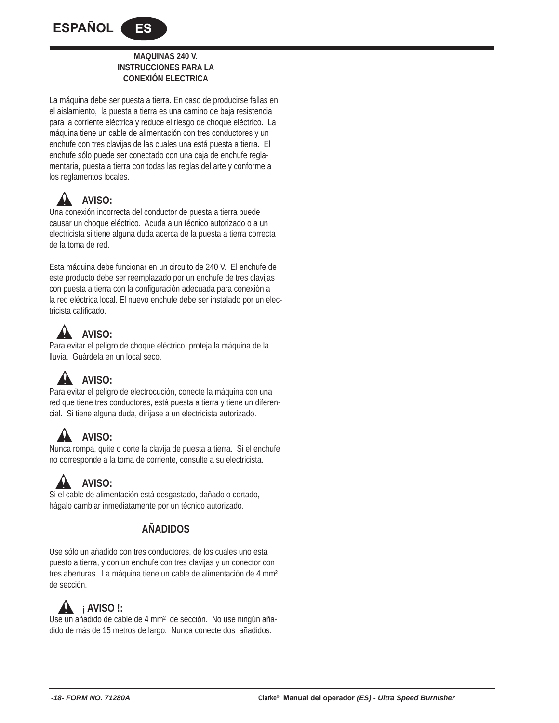### **MAQUINAS 240 V. INSTRUCCIONES PARA LA CONEXIÓN ELECTRICA**

La máquina debe ser puesta a tierra. En caso de producirse fallas en el aislamiento, la puesta a tierra es una camino de baja resistencia para la corriente eléctrica y reduce el riesgo de choque eléctrico. La máquina tiene un cable de alimentación con tres conductores y un enchufe con tres clavijas de las cuales una está puesta a tierra. El enchufe sólo puede ser conectado con una caja de enchufe reglamentaria, puesta a tierra con todas las reglas del arte y conforme a los reglamentos locales.

# **AVISO:**

Una conexión incorrecta del conductor de puesta a tierra puede causar un choque eléctrico. Acuda a un técnico autorizado o a un electricista si tiene alguna duda acerca de la puesta a tierra correcta de la toma de red.

Esta máquina debe funcionar en un circuito de 240 V. El enchufe de este producto debe ser reemplazado por un enchufe de tres clavijas con puesta a tierra con la configuración adecuada para conexión a la red eléctrica local. El nuevo enchufe debe ser instalado por un electricista calificado.

# **AVISO:**

Para evitar el peligro de choque eléctrico, proteja la máquina de la lluvia. Guárdela en un local seco.

# **AVISO:**

Para evitar el peligro de electrocución, conecte la máquina con una red que tiene tres conductores, está puesta a tierra y tiene un diferencial. Si tiene alguna duda, diríjase a un electricista autorizado.

# **AVISO:**

Nunca rompa, quite o corte la clavija de puesta a tierra. Si el enchufe no corresponde a la toma de corriente, consulte a su electricista.

# **AVISO:**

Si el cable de alimentación está desgastado, dañado o cortado, hágalo cambiar inmediatamente por un técnico autorizado.

## **AÑADIDOS**

Use sólo un añadido con tres conductores, de los cuales uno está puesto a tierra, y con un enchufe con tres clavijas y un conector con tres aberturas. La máquina tiene un cable de alimentación de 4 mm² de sección.



Use un añadido de cable de 4 mm² de sección. No use ningún añadido de más de 15 metros de largo. Nunca conecte dos añadidos.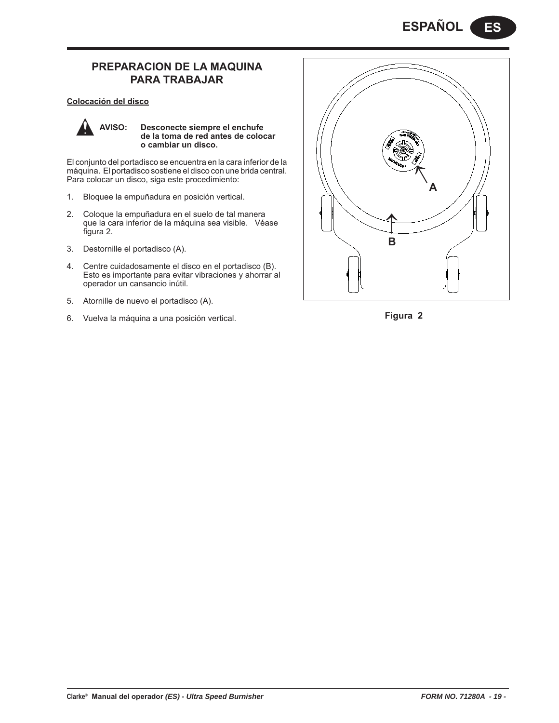ES

## PREPARACION DE LA MAQUINA **PARA TRABAJAR**

#### Colocación del disco



Desconecte siempre el enchufe de la toma de red antes de colocar o cambiar un disco.

El conjunto del portadisco se encuentra en la cara inferior de la máquina. El portadisco sostiene el disco con une brida central. Para colocar un disco, siga este procedimiento:

- Bloquee la empuñadura en posición vertical.  $1.$
- Coloque la empuñadura en el suelo de tal manera  $2.$ que la cara inferior de la máquina sea visible. Véase figura 2.
- 3. Destornille el portadisco (A).
- 4. Centre cuidadosamente el disco en el portadisco (B). Esto es importante para evitar vibraciones y ahorrar al operador un cansancio inútil.
- 5. Atornille de nuevo el portadisco (A).
- 6. Vuelva la máquina a una posición vertical.



Figura 2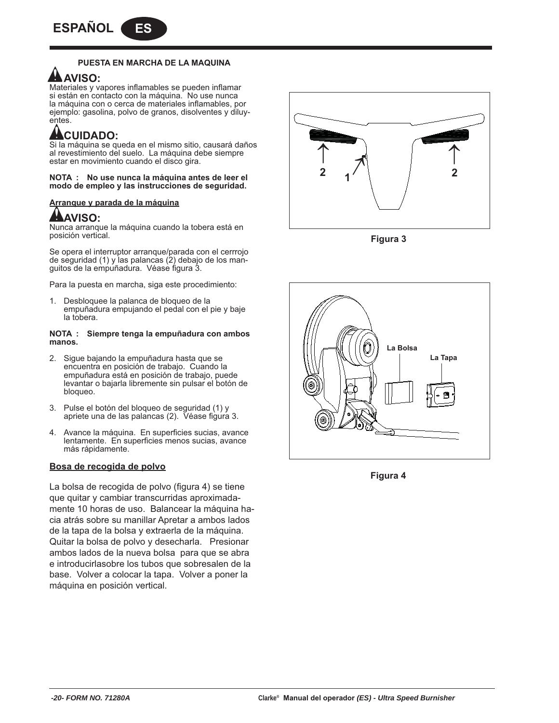#### PUESTA EN MARCHA DE LA MAQUINA

## **LAVISO:**

Materiales y vapores inflamables se pueden inflamar si están en contacto con la máquina. No use nunca la máquina con o cerca de materiales inflamables, por ejemplo: gasolina, polvo de granos, disolventes y diluyentes.

## **INCUIDADO:**

Si la máquina se queda en el mismo sitio, causará daños<br>al revestimiento del suelo. La máquina debe siempre estar en movimiento cuando el disco gira.

#### NOTA : No use nunca la máquina antes de leer el modo de empleo y las instrucciones de seguridad.

#### Arranque y parada de la máquina

## **AVISO:**

Nunca arranque la máquina cuando la tobera está en posición vertical.

Se opera el interruptor arranque/parada con el cerrrojo de seguridad (1) y las palancas (2) debajo de los manguitos de la empuñadura. Véase figura 3.

Para la puesta en marcha, siga este procedimiento:

1. Desbloquee la palanca de bloqueo de la empuñadura empujando el pedal con el pie y baje la tobera.

#### NOTA : Siempre tenga la empuñadura con ambos manos.

- 2. Sigue bajando la empuñadura hasta que se encuentra en posición de trabajo. Cuando la empuñadura está en posición de trabajo, puede levantar o bajarla libremente sin pulsar el botón de bloqueo.
- 3. Pulse el botón del bloqueo de seguridad (1) y apriete una de las palancas (2). Véase figura 3.
- Avance la máquina. En superficies sucias, avance 4. lentamente. En superficies menos sucias, avance más rápidamente.

#### Bosa de recogida de polvo

La bolsa de recogida de polvo (figura 4) se tiene que quitar y cambiar transcurridas aproximadamente 10 horas de uso. Balancear la máquina hacia atrás sobre su manillar Apretar a ambos lados de la tapa de la bolsa y extraerla de la máquina. Quitar la bolsa de polvo y desecharla. Presionar ambos lados de la nueva bolsa para que se abra e introducirlasobre los tubos que sobresalen de la base. Volver a colocar la tapa. Volver a poner la máquina en posición vertical.



Figura 3



Figura 4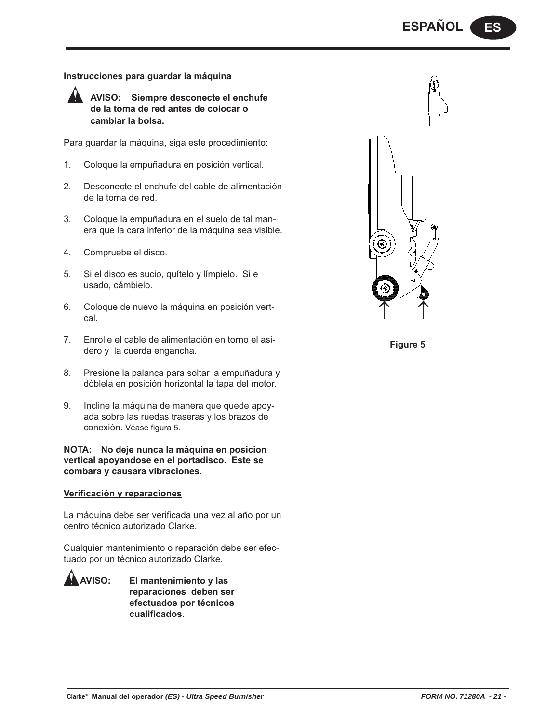#### Instrucciones para guardar la máquina



AVISO: Siempre desconecte el enchufe de la toma de red antes de colocar o cambiar la bolsa.

Para guardar la máquina, siga este procedimiento:

- $1<sub>1</sub>$ Coloque la empuñadura en posición vertical.
- 2. Desconecte el enchufe del cable de alimentación de la toma de red.
- 3. Coloque la empuñadura en el suelo de tal manera que la cara inferior de la máquina sea visible.
- 4. Compruebe el disco.
- 5. Si el disco es sucio, quítelo y límpielo. Si e usado, cámbielo.
- Coloque de nuevo la máquina en posición vert-6. cal.
- 7. Enrolle el cable de alimentación en torno el asidero y la cuerda engancha.
- 8. Presione la palanca para soltar la empuñadura y dóblela en posición horizontal la tapa del motor.
- $9<sub>1</sub>$ Incline la máquina de manera que quede apoyada sobre las ruedas traseras y los brazos de conexión. Véase figura 5.

#### NOTA: No deje nunca la máquina en posicion vertical apoyandose en el portadisco. Este se combara y causara vibraciones.

#### Verificación y reparaciones

La máquina debe ser verificada una vez al año por un centro técnico autorizado Clarke.

Cualquier mantenimiento o reparación debe ser efectuado por un técnico autorizado Clarke.

AVISO:

El mantenimiento y las reparaciones deben ser efectuados por técnicos cualificados.



Figure 5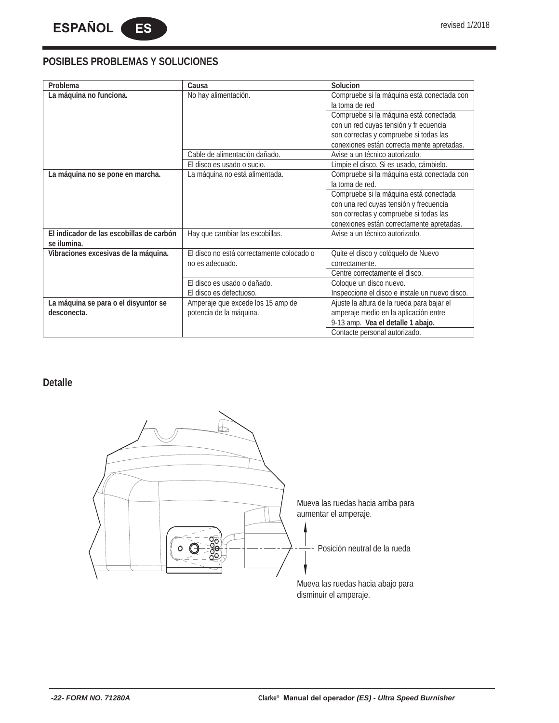## **POSIBLES PROBLEMAS Y SOLUCIONES**

| Problema                                 | Causa                                     | Solucion                                       |
|------------------------------------------|-------------------------------------------|------------------------------------------------|
| La máquina no funciona.                  | No hay alimentación.                      | Compruebe si la máquina está conectada con     |
|                                          |                                           | la toma de red                                 |
|                                          |                                           | Compruebe si la máquina está conectada         |
|                                          |                                           | con un red cuyas tensión y fr ecuencia         |
|                                          |                                           | son correctas y compruebe si todas las         |
|                                          |                                           | conexiones están correcta mente apretadas.     |
|                                          | Cable de alimentación dañado.             | Avise a un técnico autorizado.                 |
|                                          | El disco es usado o sucio.                | Limpie el disco. Si es usado, cámbielo.        |
| La máquina no se pone en marcha.         | La máquina no está alimentada.            | Compruebe si la máquina está conectada con     |
|                                          |                                           | la toma de red.                                |
|                                          |                                           | Compruebe si la máquina está conectada         |
|                                          |                                           | con una red cuyas tensión y frecuencia         |
|                                          |                                           | son correctas y compruebe si todas las         |
|                                          |                                           | conexiones están correctamente apretadas.      |
| El indicador de las escobillas de carbón | Hay que cambiar las escobillas.           | Avise a un técnico autorizado.                 |
| se ilumina.                              |                                           |                                                |
| Vibraciones excesivas de la máquina.     | El disco no está correctamente colocado o | Quite el disco y colóquelo de Nuevo            |
|                                          | no es adecuado.                           | correctamente.                                 |
|                                          |                                           | Centre correctamente el disco.                 |
|                                          | El disco es usado o dañado.               | Coloque un disco nuevo.                        |
|                                          | El disco es defectuoso.                   | Inspeccione el disco e instale un nuevo disco. |
| La máquina se para o el disyuntor se     | Amperaje que excede los 15 amp de         | Ajuste la altura de la rueda para bajar el     |
| desconecta.                              | potencia de la máquina.                   | amperaje medio en la aplicación entre          |
|                                          |                                           | 9-13 amp. Vea el detalle 1 abajo.              |
|                                          |                                           | Contacte personal autorizado.                  |

### **Detalle**

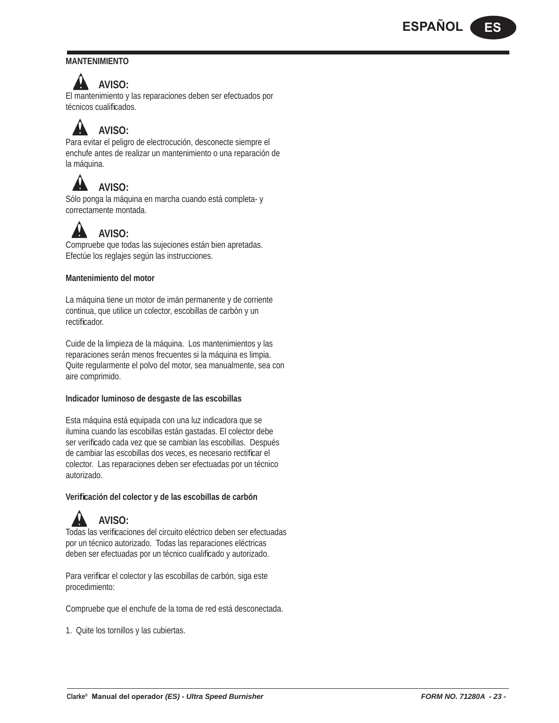### **MANTENIMIENTO**



El mantenimiento y las reparaciones deben ser efectuados por técnicos cualificados.



## **AVISO:**

Para evitar el peligro de electrocución, desconecte siempre el enchufe antes de realizar un mantenimiento o una reparación de la máquina.

## A AVISO:

Sólo ponga la máquina en marcha cuando está completa- y correctamente montada.



## **AVISO:**

Compruebe que todas las sujeciones están bien apretadas. Efectúe los reglajes según las instrucciones.

#### **Mantenimiento del motor**

La máquina tiene un motor de imán permanente y de corriente continua, que utilice un colector, escobillas de carbón y un rectificador.

Cuide de la limpieza de la máquina. Los mantenimientos y las reparaciones serán menos frecuentes si la máquina es limpia. Quite regularmente el polvo del motor, sea manualmente, sea con aire comprimido.

#### **Indicador luminoso de desgaste de las escobillas**

Esta máquina está equipada con una luz indicadora que se ilumina cuando las escobillas están gastadas. El colector debe ser verificado cada vez que se cambian las escobillas. Después de cambiar las escobillas dos veces, es necesario rectificar el colector. Las reparaciones deben ser efectuadas por un técnico autorizado.

### **Verifi cación del colector y de las escobillas de carbón**

## **AVISO:**

Todas las verificaciones del circuito eléctrico deben ser efectuadas por un técnico autorizado. Todas las reparaciones eléctricas deben ser efectuadas por un técnico cualificado y autorizado.

Para verificar el colector y las escobillas de carbón, siga este procedimiento:

Compruebe que el enchufe de la toma de red está desconectada.

1. Quite los tornillos y las cubiertas.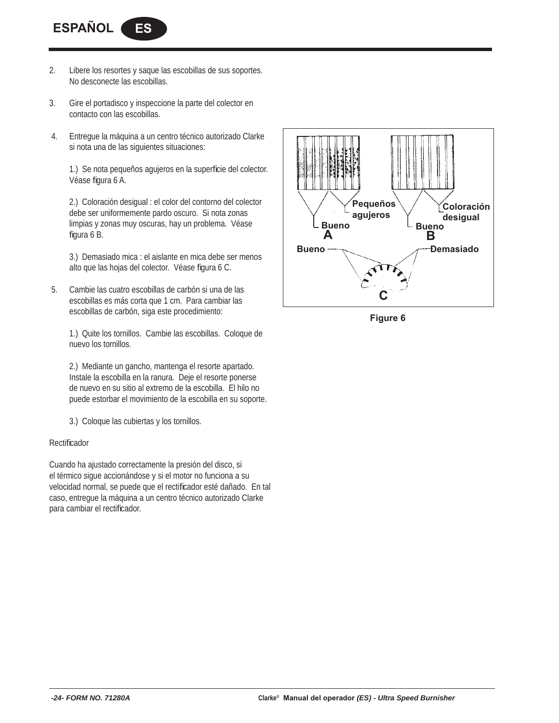

**(63\$f2/ (6**

- 3. Gire el portadisco y inspeccione la parte del colector en contacto con las escobillas.
- 4. Entregue la máquina a un centro técnico autorizado Clarke si nota una de las siguientes situaciones:

1.) Se nota pequeños agujeros en la superficie del colector. Véase figura 6 A.

 2.) Coloración desigual : el color del contorno del colector debe ser uniformemente pardo oscuro. Si nota zonas limpias y zonas muy oscuras, hay un problema. Véase figura 6 B.

 3.) Demasiado mica : el aislante en mica debe ser menos alto que las hojas del colector. Véase figura 6 C.

 5. Cambie las cuatro escobillas de carbón si una de las escobillas es más corta que 1 cm. Para cambiar las escobillas de carbón, siga este procedimiento:

 1.) Quite los tornillos. Cambie las escobillas. Coloque de nuevo los tornillos.

 2.) Mediante un gancho, mantenga el resorte apartado. Instale la escobilla en la ranura. Deje el resorte ponerse de nuevo en su sitio al extremo de la escobilla. El hilo no puede estorbar el movimiento de la escobilla en su soporte.

3.) Coloque las cubiertas y los tornillos.

#### Rectificador

Cuando ha ajustado correctamente la presión del disco, si el térmico sigue accionándose y si el motor no funciona a su velocidad normal, se puede que el rectificador esté dañado. En tal caso, entregue la máquina a un centro técnico autorizado Clarke para cambiar el rectificador.



**Figure 6**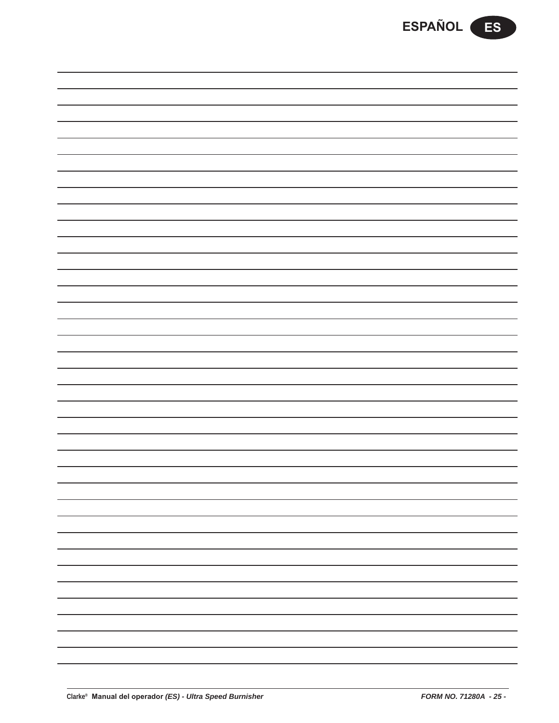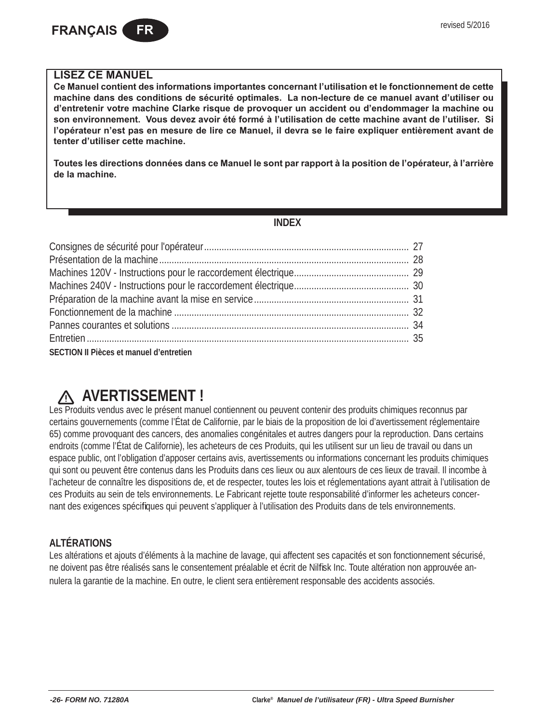## $FRANCAIS$

### **LISEZ CE MANUEL**

Ce Manuel contient des informations importantes concernant l'utilisation et le fonctionnement de cette machine dans des conditions de sécurité optimales. La non-lecture de ce manuel avant d'utiliser ou d'entretenir votre machine Clarke risque de provoquer un accident ou d'endommager la machine ou son environnement. Vous devez avoir été formé à l'utilisation de cette machine avant de l'utiliser. Si l'opérateur n'est pas en mesure de lire ce Manuel, il devra se le faire expliquer entièrement avant de tenter d'utiliser cette machine.

Toutes les directions données dans ce Manuel le sont par rapport à la position de l'opérateur, à l'arrière de la machine.

### *INDEX*

| SECTION II Pièces et manuel d'entretien |  |
|-----------------------------------------|--|

# **AVERTISSEMENT !**

Les Produits vendus avec le présent manuel contiennent ou peuvent contenir des produits chimiques reconnus par certains gouvernements (comme l'État de Californie, par le biais de la proposition de loi d'avertissement réglementaire 65) comme provoquant des cancers, des anomalies congénitales et autres dangers pour la reproduction. Dans certains endroits (comme l'État de Californie), les acheteurs de ces Produits, qui les utilisent sur un lieu de travail ou dans un espace public, ont l'obligation d'apposer certains avis, avertissements ou informations concernant les produits chimiques qui sont ou peuvent être contenus dans les Produits dans ces lieux ou aux alentours de ces lieux de travail. Il incombe à l'acheteur de connaître les dispositions de, et de respecter, toutes les lois et réglementations ayant attrait à l'utilisation de ces Produits au sein de tels environnements. Le Fabricant rejette toute responsabilité d'informer les acheteurs concernant des exigences spécifiques qui peuvent s'appliquer à l'utilisation des Produits dans de tels environnements.

## **ALTÉRATIONS**

Les altérations et ajouts d'éléments à la machine de lavage, qui affectent ses capacités et son fonctionnement sécurisé, ne doivent pas être réalisés sans le consentement préalable et écrit de Nilfisk Inc. Toute altération non approuvée annulera la garantie de la machine. En outre, le client sera entièrement responsable des accidents associés.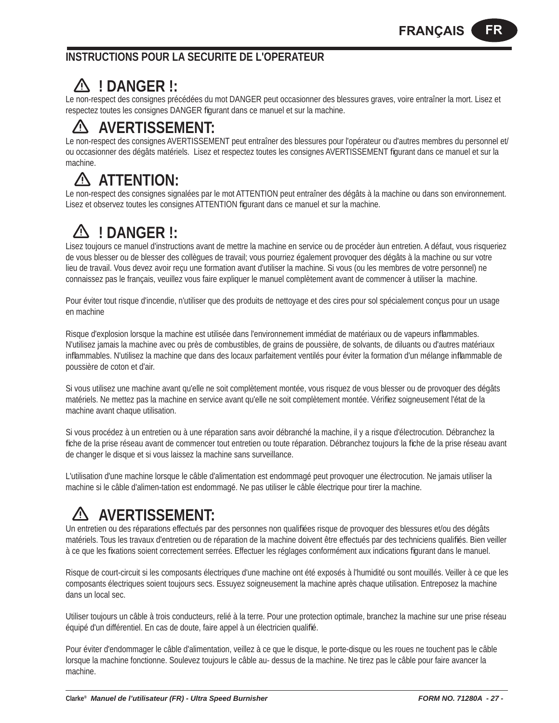## **INSTRUCTIONS POUR LA SECURITE DE L'OPERATEUR**

# **! DANGER !:**

Le non-respect des consignes précédées du mot DANGER peut occasionner des blessures graves, voire entraîner la mort. Lisez et respectez toutes les consignes DANGER figurant dans ce manuel et sur la machine.

# **AVERTISSEMENT:**

Le non-respect des consignes AVERTISSEMENT peut entraîner des blessures pour l'opérateur ou d'autres membres du personnel et/ ou occasionner des dégâts matériels. Lisez et respectez toutes les consignes AVERTISSEMENT figurant dans ce manuel et sur la machine.

# **ATTENTION:**

Le non-respect des consignes signalées par le mot ATTENTION peut entraîner des dégâts à la machine ou dans son environnement. Lisez et observez toutes les consignes ATTENTION figurant dans ce manuel et sur la machine.

# **! DANGER !:**

Lisez toujours ce manuel d'instructions avant de mettre la machine en service ou de procéder àun entretien. A défaut, vous risqueriez de vous blesser ou de blesser des collègues de travail; vous pourriez également provoquer des dégâts à la machine ou sur votre lieu de travail. Vous devez avoir reçu une formation avant d'utiliser la machine. Si vous (ou les membres de votre personnel) ne connaissez pas le français, veuillez vous faire expliquer le manuel complètement avant de commencer à utiliser la machine.

Pour éviter tout risque d'incendie, n'utiliser que des produits de nettoyage et des cires pour sol spécialement conçus pour un usage en machine

Risque d'explosion lorsque la machine est utilisée dans l'environnement immédiat de matériaux ou de vapeurs inflammables. N'utilisez jamais la machine avec ou près de combustibles, de grains de poussière, de solvants, de diluants ou d'autres matériaux inflammables. N'utilisez la machine que dans des locaux parfaitement ventilés pour éviter la formation d'un mélange inflammable de poussière de coton et d'air.

Si vous utilisez une machine avant qu'elle ne soit complètement montée, vous risquez de vous blesser ou de provoquer des dégâts matériels. Ne mettez pas la machine en service avant qu'elle ne soit complètement montée. Vérifiez soigneusement l'état de la machine avant chaque utilisation.

Si vous procédez à un entretien ou à une réparation sans avoir débranché la machine, il y a risque d'électrocution. Débranchez la fiche de la prise réseau avant de commencer tout entretien ou toute réparation. Débranchez toujours la fiche de la prise réseau avant de changer le disque et si vous laissez la machine sans surveillance.

L'utilisation d'une machine lorsque le câble d'alimentation est endommagé peut provoquer une électrocution. Ne jamais utiliser la machine si le câble d'alimen-tation est endommagé. Ne pas utiliser le câble électrique pour tirer la machine.

# **AVERTISSEMENT:**

Un entretien ou des réparations effectués par des personnes non qualifiées risque de provoquer des blessures et/ou des dégâts matériels. Tous les travaux d'entretien ou de réparation de la machine doivent être effectués par des techniciens qualifiés. Bien veiller à ce que les fixations soient correctement serrées. Effectuer les réglages conformément aux indications figurant dans le manuel.

Risque de court-circuit si les composants électriques d'une machine ont été exposés à l'humidité ou sont mouillés. Veiller à ce que les composants électriques soient toujours secs. Essuyez soigneusement la machine après chaque utilisation. Entreposez la machine dans un local sec.

Utiliser toujours un câble à trois conducteurs, relié à la terre. Pour une protection optimale, branchez la machine sur une prise réseau équipé d'un différentiel. En cas de doute, faire appel à un électricien qualifié.

Pour éviter d'endommager le câble d'alimentation, veillez à ce que le disque, le porte-disque ou les roues ne touchent pas le câble lorsque la machine fonctionne. Soulevez toujours le câble au- dessus de la machine. Ne tirez pas le câble pour faire avancer la machine.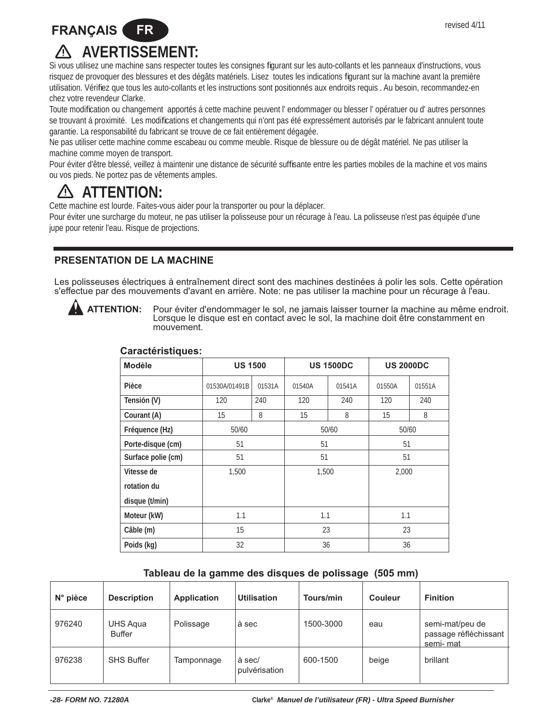# **FRANCAIS**

#### **AVERTISSEMENT: A**

Si vous utilisez une machine sans respecter toutes les consignes figurant sur les auto-collants et les panneaux d'instructions, vous risquez de provoquer des blessures et des dégâts matériels. Lisez toutes les indications figurant sur la machine avant la première utilisation. Vérifiez que tous les auto-collants et les instructions sont positionnés aux endroits requis. Au besoin, recommandez-en chez votre revendeur Clarke.

Toute modification ou changement apportés á cette machine peuvent l'endommager ou blesser l'opératuer ou d'autres personnes se trouvant á proximité. Les modifications et changements qui n'ont pas été expressément autorisés par le fabricant annulent toute garantie. La responsabilité du fabricant se trouve de ce fait entièrement dégagée.

Ne pas utiliser cette machine comme escabeau ou comme meuble. Risque de blessure ou de dégât matériel. Ne pas utiliser la machine comme moyen de transport.

Pour éviter d'être blessé, veillez à maintenir une distance de sécurité suffisante entre les parties mobiles de la machine et vos mains ou vos pieds. Ne portez pas de vêtements amples.

# ATTENTION:

Cette machine est lourde. Faites-vous aider pour la transporter ou pour la déplacer.

Pour éviter une surcharge du moteur, ne pas utiliser la polisseuse pour un récurage à l'eau. La polisseuse n'est pas équipée d'une jupe pour retenir l'eau. Risque de projections.

## **PRESENTATION DE LA MACHINE**

Les polisseuses électriques à entraînement direct sont des machines destinées à polir les sols. Cette opération s'effectue par des mouvements d'avant en arrière. Note: ne pas utiliser la machine pour un récurage à l'eau.

**ATTENTION:** 

Pour éviter d'endommager le sol, ne jamais laisser tourner la machine au même endroit. Lorsque le disque est en contact avec le sol, la machine doit être constamment en mouvement.

### **Caractéristiques:**

| <b>Modèle</b>      | <b>US 1500</b>          |     | <b>US 1500DC</b> |        | <b>US 2000DC</b> |        |
|--------------------|-------------------------|-----|------------------|--------|------------------|--------|
| Pièce              | 01530A/01491B<br>01531A |     | 01540A           | 01541A | 01550A           | 01551A |
| Tensión (V)        | 120                     | 240 | 120              | 240    | 120              | 240    |
| Courant (A)        | 15                      | 8   | 15               | 8      | 15               | 8      |
| Fréquence (Hz)     | 50/60                   |     | 50/60            |        | 50/60            |        |
| Porte-disque (cm)  | 51                      |     | 51               |        | 51               |        |
| Surface polie (cm) | 51                      |     | 51               |        | 51               |        |
| Vitesse de         | 1,500                   |     | 1,500            |        | 2,000            |        |
| rotation du        |                         |     |                  |        |                  |        |
| disque (t/min)     |                         |     |                  |        |                  |        |
| Moteur (kW)        | 1.1                     |     | 1.1              |        | 1.1              |        |
| Câble (m)          | 15                      |     | 23               |        | 23               |        |
| Poids (kg)         | 32                      |     | 36               |        | 36               |        |

### Tableau de la gamme des disques de polissage (505 mm)

| $N^{\circ}$ pièce | <b>Description</b>               | <b>Application</b> | <b>Utilisation</b>      | Tours/min | <b>Couleur</b> | <b>Finition</b>                                       |
|-------------------|----------------------------------|--------------------|-------------------------|-----------|----------------|-------------------------------------------------------|
| 976240            | <b>UHS Agua</b><br><b>Buffer</b> | Polissage          | à sec                   | 1500-3000 | eau            | semi-mat/peu de<br>passage réfléchissant<br>semi- mat |
| 976238            | <b>SHS Buffer</b>                | Tamponnage         | à sec/<br>pulvérisation | 600-1500  | beige          | brillant                                              |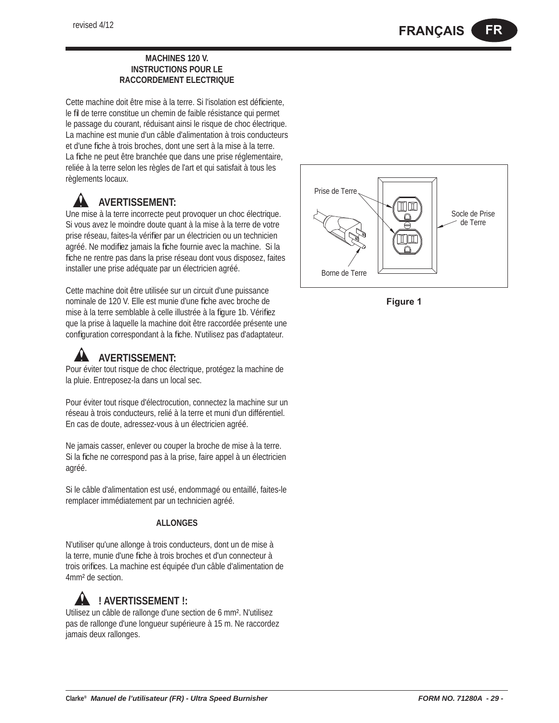#### **MACHINES 120 V. INSTRUCTIONS POUR LE RACCORDEMENT ELECTRIQUE**

Cette machine doit être mise à la terre. Si l'isolation est déficiente, le fil de terre constitue un chemin de faible résistance qui permet le passage du courant, réduisant ainsi le risque de choc électrique. La machine est munie d'un câble d'alimentation à trois conducteurs et d'une fiche à trois broches, dont une sert à la mise à la terre. La fiche ne peut être branchée que dans une prise réglementaire, reliée à la terre selon les règles de l'art et qui satisfait à tous les règlements locaux.

## **AVERTISSEMENT:**

Une mise à la terre incorrecte peut provoquer un choc électrique. Si vous avez le moindre doute quant à la mise à la terre de votre prise réseau, faites-la vérifier par un électricien ou un technicien agréé. Ne modifiez jamais la fiche fournie avec la machine. Si la fiche ne rentre pas dans la prise réseau dont vous disposez, faites installer une prise adéquate par un électricien agréé.

Cette machine doit être utilisée sur un circuit d'une puissance nominale de 120 V. Elle est munie d'une fiche avec broche de mise à la terre semblable à celle illustrée à la figure 1b. Vérifiez que la prise à laquelle la machine doit être raccordée présente une configuration correspondant à la fiche. N'utilisez pas d'adaptateur.

## **AVERTISSEMENT:**

Pour éviter tout risque de choc électrique, protégez la machine de la pluie. Entreposez-la dans un local sec.

Pour éviter tout risque d'électrocution, connectez la machine sur un réseau à trois conducteurs, relié à la terre et muni d'un différentiel. En cas de doute, adressez-vous à un électricien agréé.

Ne jamais casser, enlever ou couper la broche de mise à la terre. Si la fiche ne correspond pas à la prise, faire appel à un électricien agréé.

Si le câble d'alimentation est usé, endommagé ou entaillé, faites-le remplacer immédiatement par un technicien agréé.

### **ALLONGES**

N'utiliser qu'une allonge à trois conducteurs, dont un de mise à la terre, munie d'une fiche à trois broches et d'un connecteur à trois orifices. La machine est équipée d'un câble d'alimentation de 4mm² de section.



### **! AVERTISSEMENT !:**

Utilisez un câble de rallonge d'une section de 6 mm². N'utilisez pas de rallonge d'une longueur supérieure à 15 m. Ne raccordez jamais deux rallonges.



**Figure 1**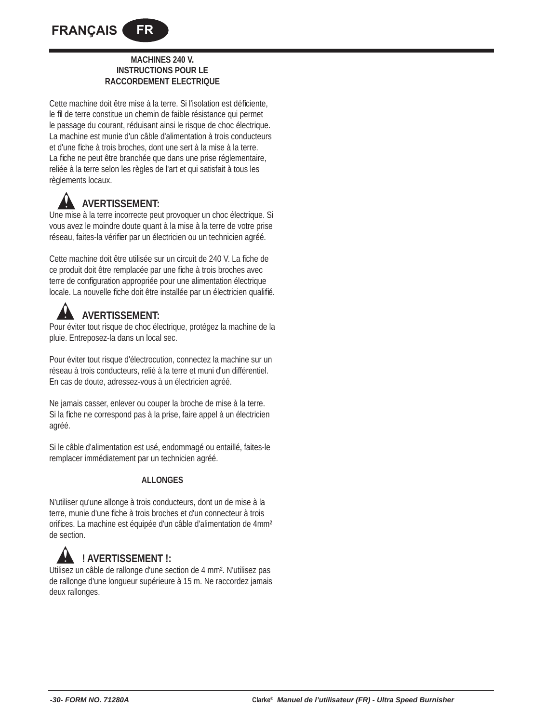#### **MACHINES 240 V. INSTRUCTIONS POUR LE RACCORDEMENT ELECTRIQUE**

Cette machine doit être mise à la terre. Si l'isolation est déficiente, le fil de terre constitue un chemin de faible résistance qui permet le passage du courant, réduisant ainsi le risque de choc électrique. La machine est munie d'un câble d'alimentation à trois conducteurs et d'une fiche à trois broches, dont une sert à la mise à la terre. La fiche ne peut être branchée que dans une prise réglementaire, reliée à la terre selon les règles de l'art et qui satisfait à tous les règlements locaux.

# **AVERTISSEMENT:**

Une mise à la terre incorrecte peut provoquer un choc électrique. Si vous avez le moindre doute quant à la mise à la terre de votre prise réseau, faites-la vérifier par un électricien ou un technicien agréé.

Cette machine doit être utilisée sur un circuit de 240 V. La fiche de ce produit doit être remplacée par une fiche à trois broches avec terre de configuration appropriée pour une alimentation électrique locale. La nouvelle fiche doit être installée par un électricien qualifié.

## **AVERTISSEMENT:**

Pour éviter tout risque de choc électrique, protégez la machine de la pluie. Entreposez-la dans un local sec.

Pour éviter tout risque d'électrocution, connectez la machine sur un réseau à trois conducteurs, relié à la terre et muni d'un différentiel. En cas de doute, adressez-vous à un électricien agréé.

Ne jamais casser, enlever ou couper la broche de mise à la terre. Si la fiche ne correspond pas à la prise, faire appel à un électricien agréé.

Si le câble d'alimentation est usé, endommagé ou entaillé, faites-le remplacer immédiatement par un technicien agréé.

### **ALLONGES**

N'utiliser qu'une allonge à trois conducteurs, dont un de mise à la terre, munie d'une fiche à trois broches et d'un connecteur à trois orifices. La machine est équipée d'un câble d'alimentation de 4mm<sup>2</sup> de section.

## **! AVERTISSEMENT !:**

Utilisez un câble de rallonge d'une section de 4 mm². N'utilisez pas de rallonge d'une longueur supérieure à 15 m. Ne raccordez jamais deux rallonges.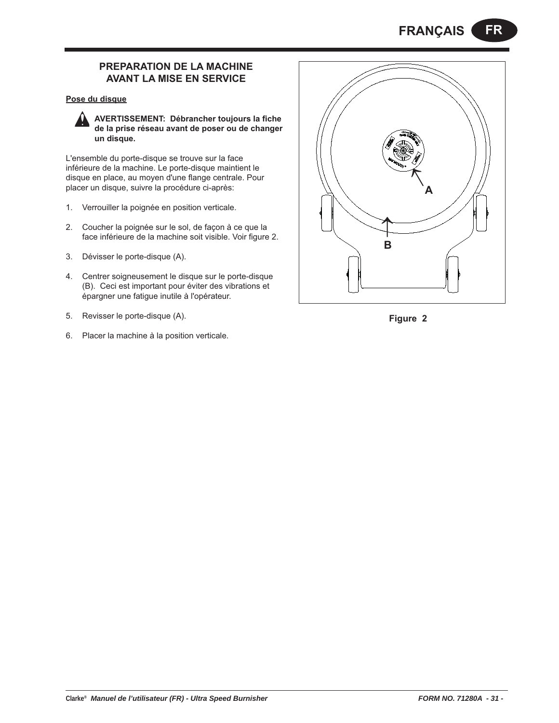FR

### PREPARATION DE LA MACHINE **AVANT LA MISE EN SERVICE**

#### Pose du disque



L'ensemble du porte-disque se trouve sur la face inférieure de la machine. Le porte-disque maintient le disque en place, au moyen d'une flange centrale. Pour placer un disque, suivre la procédure ci-après:

- 1. Verrouiller la poignée en position verticale.
- 2. Coucher la poignée sur le sol, de façon à ce que la face inférieure de la machine soit visible. Voir figure 2.
- 3. Dévisser le porte-disque (A).
- 4. Centrer soigneusement le disque sur le porte-disque (B). Ceci est important pour éviter des vibrations et épargner une fatigue inutile à l'opérateur.
- 5. Revisser le porte-disque (A).
- 6. Placer la machine à la position verticale.



Figure 2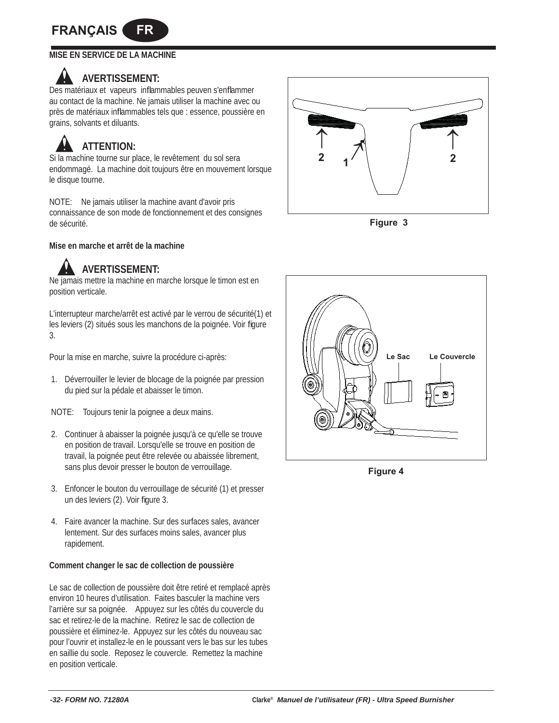### **MISE EN SERVICE DE LA MACHINE**

## **AVERTISSEMENT:**

Des matériaux et vapeurs inflammables peuven s'enflammer au contact de la machine. Ne jamais utiliser la machine avec ou près de matériaux inflammables tels que : essence, poussière en grains, solvants et diluants.

# **ATTENTION:**

Si la machine tourne sur place, le revêtement du sol sera endommagé. La machine doit toujours être en mouvement lorsque le disque tourne.

NOTE: Ne jamais utiliser la machine avant d'avoir pris connaissance de son mode de fonctionnement et des consignes de sécurité.

#### **Mise en marche et arrêt de la machine**

## **AVERTISSEMENT:**

Ne jamais mettre la machine en marche lorsque le timon est en position verticale.

L'interrupteur marche/arrêt est activé par le verrou de sécurité(1) et les leviers (2) situés sous les manchons de la poignée. Voir figure 3.

Pour la mise en marche, suivre la procédure ci-après:

1. Déverrouiller le levier de blocage de la poignée par pression du pied sur la pédale et abaisser le timon.

NOTE: Toujours tenir la poignee a deux mains.

- 2. Continuer à abaisser la poignée jusqu'à ce qu'elle se trouve en position de travail. Lorsqu'elle se trouve en position de travail, la poignée peut être relevée ou abaissée librement, sans plus devoir presser le bouton de verrouillage.
- 3. Enfoncer le bouton du verrouillage de sécurité (1) et presser un des leviers (2). Voir figure 3.
- 4. Faire avancer la machine. Sur des surfaces sales, avancer lentement. Sur des surfaces moins sales, avancer plus rapidement.

#### **Comment changer le sac de collection de poussière**

Le sac de collection de poussière doit être retiré et remplacé après environ 10 heures d'utilisation. Faites basculer la machine vers l'arrière sur sa poignée. Appuyez sur les côtés du couvercle du sac et retirez-le de la machine. Retirez le sac de collection de poussière et éliminez-le. Appuyez sur les côtés du nouveau sac pour l'ouvrir et installez-le en le poussant vers le bas sur les tubes en saillie du socle. Reposez le couvercle. Remettez la machine en position verticale.



**Figure 3** 



**Figure 4**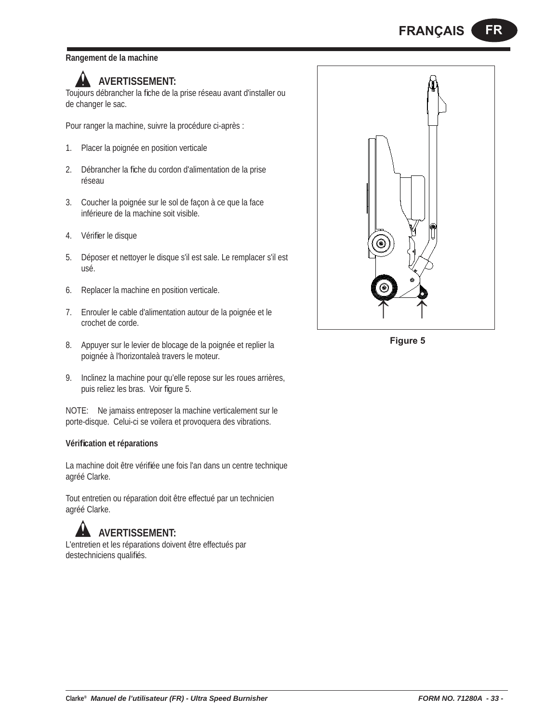#### **Rangement de la machine**

## **AVERTISSEMENT:**

Toujours débrancher la fiche de la prise réseau avant d'installer ou de changer le sac.

Pour ranger la machine, suivre la procédure ci-après :

- 1. Placer la poignée en position verticale
- 2. Débrancher la fiche du cordon d'alimentation de la prise réseau
- 3. Coucher la poignée sur le sol de façon à ce que la face inférieure de la machine soit visible.
- 4. Vérifier le disque
- 5. Déposer et nettoyer le disque s'il est sale. Le remplacer s'il est usé.
- 6. Replacer la machine en position verticale.
- 7. Enrouler le cable d'alimentation autour de la poignée et le crochet de corde.
- 8. Appuyer sur le levier de blocage de la poignée et replier la poignée à l'horizontaleà travers le moteur.
- 9. Inclinez la machine pour qu'elle repose sur les roues arrières, puis reliez les bras. Voir figure 5.

NOTE: Ne jamaiss entreposer la machine verticalement sur le porte-disque. Celui-ci se voilera et provoquera des vibrations.

#### **Vérifi cation et réparations**

La machine doit être vérifiée une fois l'an dans un centre technique agréé Clarke.

Tout entretien ou réparation doit être effectué par un technicien agréé Clarke.

## **AN AVERTISSEMENT:**

L'entretien et les réparations doivent être effectués par destechniciens qualifiés.



**Figure 5**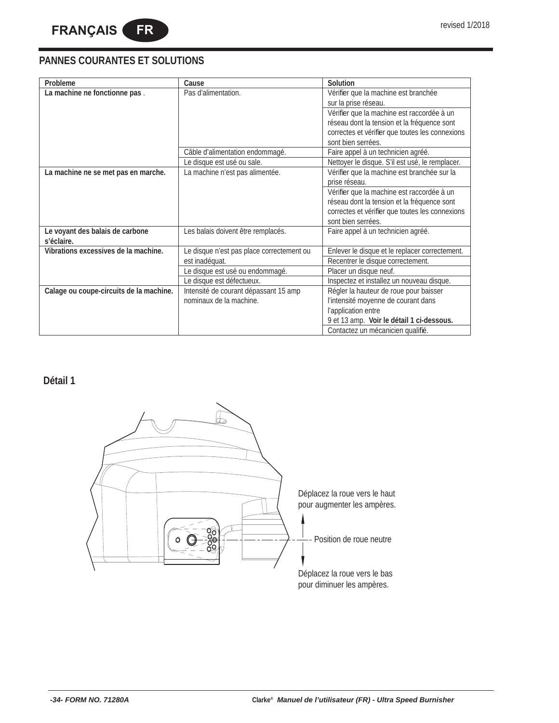## **PANNES COURANTES ET SOLUTIONS**

| Probleme                                | Cause                                     | Solution                                        |
|-----------------------------------------|-------------------------------------------|-------------------------------------------------|
| La machine ne fonctionne pas.           | Pas d'alimentation.                       | Vérifier que la machine est branchée            |
|                                         |                                           | sur la prise réseau.                            |
|                                         |                                           | Vérifier que la machine est raccordée à un      |
|                                         |                                           | réseau dont la tension et la fréquence sont     |
|                                         |                                           | correctes et vérifier que toutes les connexions |
|                                         |                                           | sont bien serrées.                              |
|                                         | Câble d'alimentation endommagé.           | Faire appel à un technicien agréé.              |
|                                         | Le disque est usé ou sale.                | Nettoyer le disque. S'il est usé, le remplacer. |
| La machine ne se met pas en marche.     | La machine n'est pas alimentée.           | Vérifier que la machine est branchée sur la     |
|                                         |                                           | prise réseau.                                   |
|                                         |                                           | Vérifier que la machine est raccordée à un      |
|                                         |                                           | réseau dont la tension et la fréquence sont     |
|                                         |                                           | correctes et vérifier que toutes les connexions |
|                                         |                                           | sont bien serrées.                              |
| Le voyant des balais de carbone         | Les balais doivent être remplacés.        | Faire appel à un technicien agréé.              |
| s'éclaire.                              |                                           |                                                 |
| Vibrations excessives de la machine.    | Le disque n'est pas place correctement ou | Enlever le disque et le replacer correctement.  |
|                                         | est inadéquat.                            | Recentrer le disque correctement.               |
|                                         | Le disque est usé ou endommagé.           | Placer un disque neuf.                          |
|                                         | Le disque est défectueux.                 | Inspectez et installez un nouveau disque.       |
| Calage ou coupe-circuits de la machine. | Intensité de courant dépassant 15 amp     | Régler la hauteur de roue pour baisser          |
|                                         | nominaux de la machine.                   | l'intensité moyenne de courant dans             |
|                                         |                                           | l'application entre                             |
|                                         |                                           | 9 et 13 amp. Voir le détail 1 ci-dessous.       |
|                                         |                                           | Contactez un mécanicien qualifié.               |

### **Détail 1**

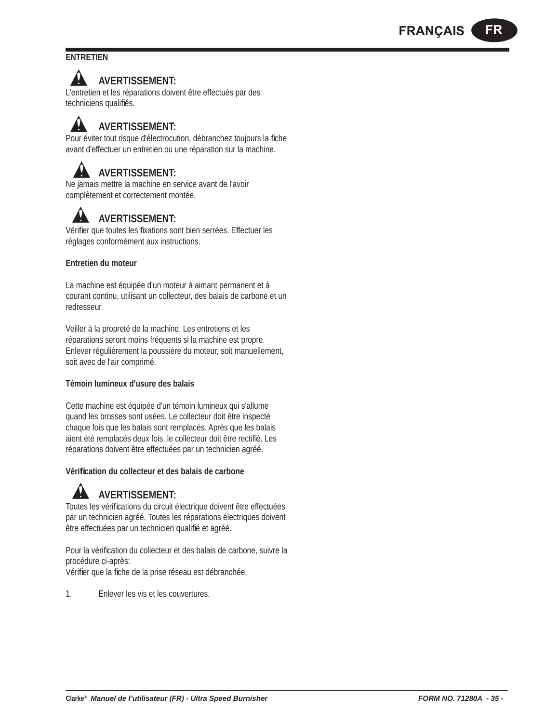#### **ENTRETIEN**



### **AVERTISSEMENT:**

L'entretien et les réparations doivent être effectués par des techniciens qualifiés.



### **AVERTISSEMENT:**

Pour éviter tout risque d'électrocution, débranchez toujours la fiche avant d'effectuer un entretien ou une réparation sur la machine.



## **AVERTISSEMENT:**

Ne jamais mettre la machine en service avant de l'avoir complètement et correctement montée.

## **AVERTISSEMENT:**

Vérifier que toutes les fixations sont bien serrées. Effectuer les réglages conformément aux instructions.

#### **Entretien du moteur**

La machine est équipée d'un moteur à aimant permanent et à courant continu, utilisant un collecteur, des balais de carbone et un redresseur.

Veiller à la propreté de la machine. Les entretiens et les réparations seront moins fréquents si la machine est propre. Enlever régulièrement la poussière du moteur, soit manuellement, soit avec de l'air comprimé.

#### **Témoin lumineux d'usure des balais**

Cette machine est équipée d'un témoin lumineux qui s'allume quand les brosses sont usées. Le collecteur doit être inspecté chaque fois que les balais sont remplacés. Après que les balais aient été remplacés deux fois, le collecteur doit être rectifié. Les réparations doivent être effectuées par un technicien agréé.

#### **Vérifi cation du collecteur et des balais de carbone**

## A **AVERTISSEMENT:**

Toutes les vérifications du circuit électrique doivent être effectuées par un technicien agréé. Toutes les réparations électriques doivent être effectuées par un technicien qualifié et agréé.

Pour la vérification du collecteur et des balais de carbone, suivre la procédure ci-après:

Vérifier que la fiche de la prise réseau est débranchée.

1. Enlever les vis et les couvertures.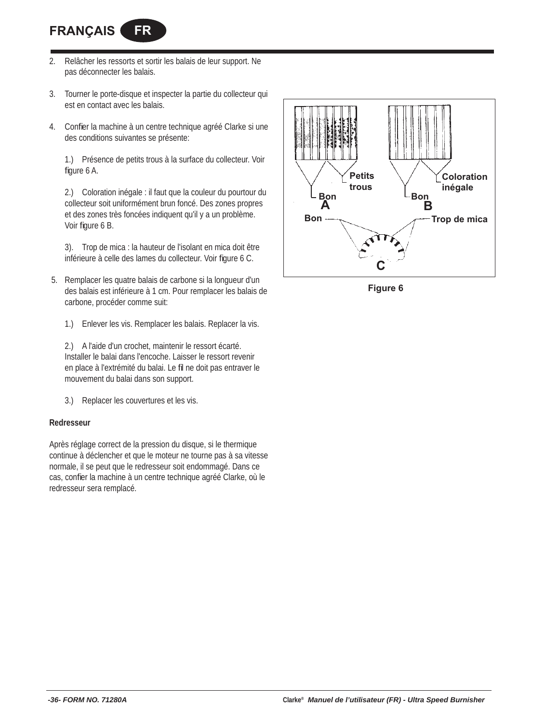## $FRANCAIS$  **FR**

- 2. Relâcher les ressorts et sortir les balais de leur support. Ne pas déconnecter les balais.
- 3. Tourner le porte-disque et inspecter la partie du collecteur qui est en contact avec les balais.
- 4. Confier la machine à un centre technique agréé Clarke si une des conditions suivantes se présente:

 1.) Présence de petits trous à la surface du collecteur. Voir figure 6 A.

 2.) Coloration inégale : il faut que la couleur du pourtour du collecteur soit uniformément brun foncé. Des zones propres et des zones très foncées indiquent qu'il y a un problème. Voir figure 6 B.

 3). Trop de mica : la hauteur de l'isolant en mica doit être inférieure à celle des lames du collecteur. Voir figure 6 C.

- 5. Remplacer les quatre balais de carbone si la longueur d'un des balais est inférieure à 1 cm. Pour remplacer les balais de carbone, procéder comme suit:
	- 1.) Enlever les vis. Remplacer les balais. Replacer la vis.

 2.) A l'aide d'un crochet, maintenir le ressort écarté. Installer le balai dans l'encoche. Laisser le ressort revenir en place à l'extrémité du balai. Le fil ne doit pas entraver le mouvement du balai dans son support.

3.) Replacer les couvertures et les vis.

#### **Redresseur**

Après réglage correct de la pression du disque, si le thermique continue à déclencher et que le moteur ne tourne pas à sa vitesse normale, il se peut que le redresseur soit endommagé. Dans ce cas, confier la machine à un centre technique agréé Clarke, où le redresseur sera remplacé.



**Figure 6**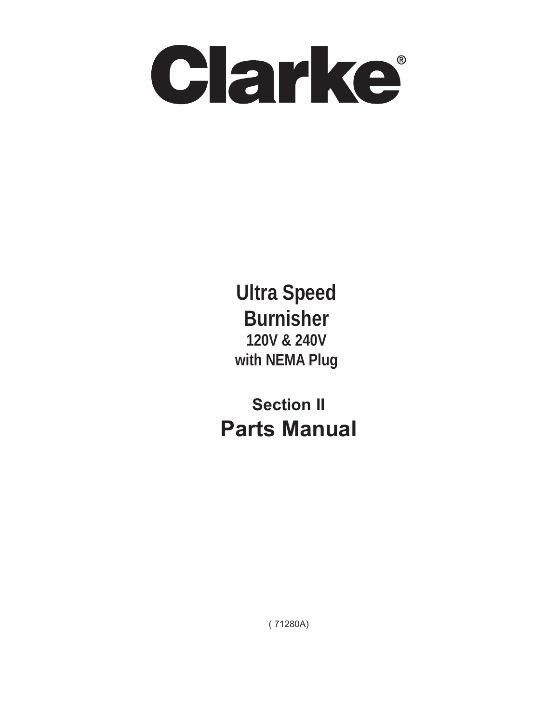

**Ultra Speed Burnisher** 120V & 240V with NEMA Plug

**Section II Parts Manual** 

 $(71280A)$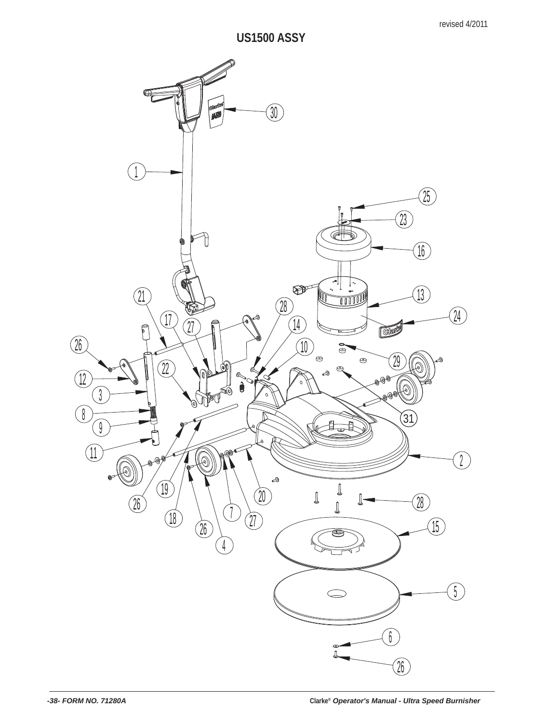**US1500 ASSY**

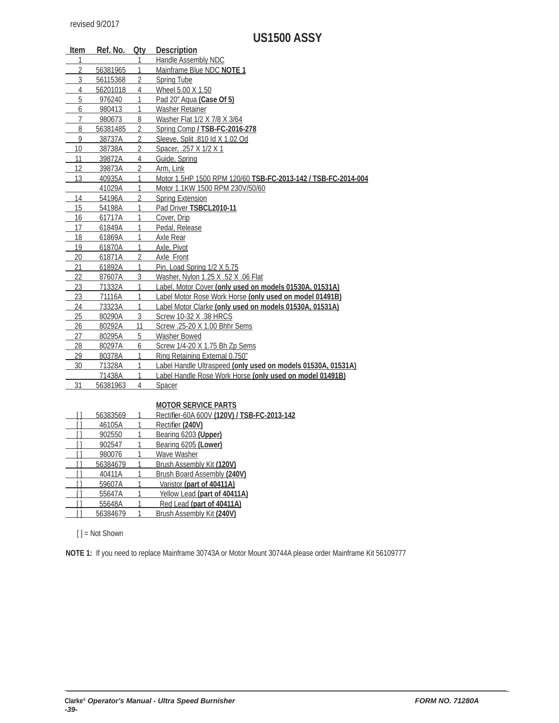| Item           |          |                | Ref. No.  Qty  Description                                    |
|----------------|----------|----------------|---------------------------------------------------------------|
| 1              |          | 1.             | Handle Assembly NDC                                           |
| $\overline{2}$ | 56381965 | 1              | Mainframe Blue NDC NOTE 1                                     |
| 3              | 56115368 | $\overline{2}$ | <b>Spring Tube</b>                                            |
| $\overline{4}$ | 56201018 | $\overline{4}$ | Wheel 5.00 X 1.50                                             |
| 5              | 976240   | 1              | Pad 20" Aqua (Case Of 5)                                      |
| 6              | 980413   | 1              | <b>Washer Retainer</b>                                        |
| $\overline{7}$ | 980673   | 8              | Washer Flat 1/2 X 7/8 X 3/64                                  |
| 8              | 56381485 | $\overline{2}$ | Spring Comp / TSB-FC-2016-278                                 |
| 9              | 38737A   | $\overline{2}$ | Sleeve, Split .810 ld X 1.02 Od                               |
| 10             | 38738A   | $\overline{2}$ | Spacer, .257 X 1/2 X 1                                        |
| 11             | 39872A   | 4              | Guide, Spring                                                 |
| 12             | 39873A   | $\overline{2}$ | Arm, Link                                                     |
| 13             | 40935A   | 1              | Motor 1.5HP 1500 RPM 120/60 TSB-FC-2013-142 / TSB-FC-2014-004 |
|                | 41029A   | 1              | Motor 1.1KW 1500 RPM 230V/50/60                               |
| 14             | 54196A   | $\overline{2}$ | <b>Spring Extension</b>                                       |
| 15             | 54198A   | 1              | Pad Driver TSBCL2010-11                                       |
| 16             | 61717A   | 1              | Cover, Drip                                                   |
| 17             | 61849A   | 1              | Pedal, Release                                                |
| 18             | 61869A   | 1              | <b>Axle Rear</b>                                              |
| 19             | 61870A   | 1              | Axle, Pivot                                                   |
| 20             | 61871A   | $\overline{2}$ | Axle Front                                                    |
| 21             | 61892A   | 1              | Pin, Load Spring 1/2 X 5.75                                   |
| 22             | 87607A   | 3              | Washer, Nylon 1.25 X .52 X .06 Flat                           |
| 23             | 71332A   | 1              | Label, Motor Cover (only used on models 01530A, 01531A)       |
| 23             | 71116A   | 1              | Label Motor Rose Work Horse (only used on model 01491B)       |
| 24             | 73323A   | 1              | Label Motor Clarke (only used on models 01530A, 01531A)       |
| 25             | 80290A   | 3              | Screw 10-32 X .38 HRCS                                        |
| 26             | 80292A   | 11             | Screw .25-20 X 1.00 Bhhr Sems                                 |
| 27             | 80295A   | 5              | Washer Bowed                                                  |
| 28             | 80297A   | 6              | Screw 1/4-20 X 1.75 Bh Zp Sems                                |
| 29             | 80378A   | $\mathbf{1}$   | Ring Retaining External 0.750"                                |
| 30             | 71328A   | 1              | Label Handle Ultraspeed (only used on models 01530A, 01531A)  |
|                | 71438A   | 1              | Label Handle Rose Work Horse (only used on model 01491B)      |
| 31             | 56381963 | 4              | Spacer                                                        |
|                |          |                |                                                               |
|                |          |                | <b>MOTOR SERVICE PARTS</b>                                    |
| n              | 56383569 | 1              | Rectifier-60A 600V (120V) / TSB-FC-2013-142                   |
| $\lceil$       | 46105A   | 1              | Rectifier (240V)                                              |
| $\lceil$       | 002550   | $\mathbf{1}$   | Rearing 6203 (Hnner)                                          |

| 46105A   | Rectifier (240V)                   |
|----------|------------------------------------|
| 902550   | Bearing 6203 (Upper)               |
| 902547   | Bearing 6205 (Lower)               |
| 980076   | Wave Washer                        |
| 56384679 | Brush Assembly Kit (120V)          |
| 40411A   | <b>Brush Board Assembly (240V)</b> |
| 59607A   | Varistor (part of 40411A)          |
| 55647A   | Yellow Lead (part of 40411A)       |
| 55648A   | Red Lead (part of 40411A)          |
| 56384679 | Brush Assembly Kit (240V)          |

[ ] = Not Shown

**NOTE 1:** If you need to replace Mainframe 30743A or Motor Mount 30744A please order Mainframe Kit 56109777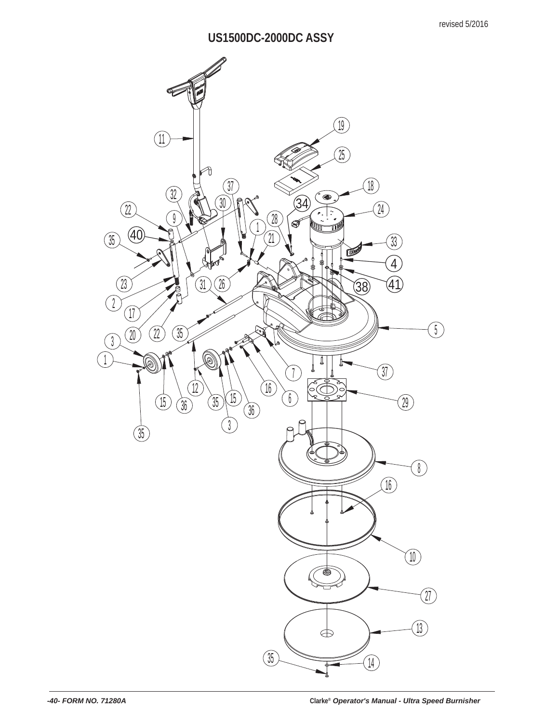**US1500DC-2000DC ASSY**

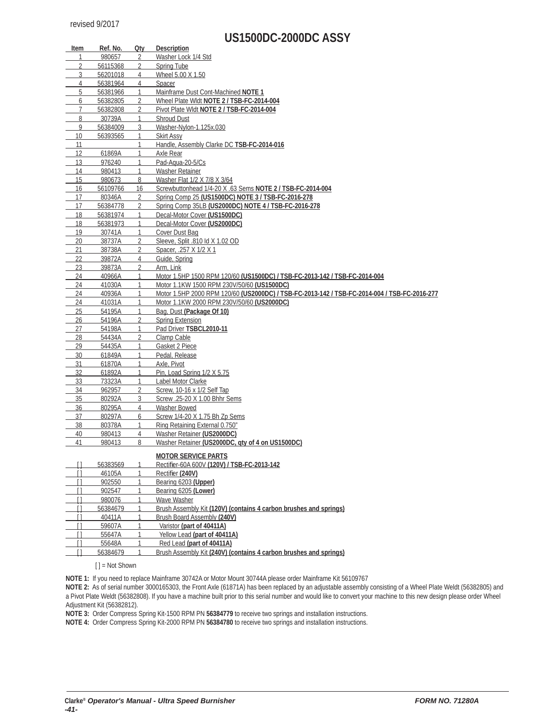| Item           | Ref. No. | Qty            | <b>Description</b>                                                                           |
|----------------|----------|----------------|----------------------------------------------------------------------------------------------|
| 1              | 980657   | 2              | Washer Lock 1/4 Std                                                                          |
| $\overline{2}$ | 56115368 | 2              | Spring Tube                                                                                  |
| 3              | 56201018 | 4              | Wheel 5.00 X 1.50                                                                            |
| 4              | 56381964 | $\overline{4}$ | Spacer                                                                                       |
| 5              | 56381966 | 1              | Mainframe Dust Cont-Machined NOTE 1                                                          |
| 6              | 56382805 | $\overline{2}$ | Wheel Plate Wldt NOTE 2 / TSB-FC-2014-004                                                    |
| 7              | 56382808 | 2              | Pivot Plate Wldt NOTE 2 / TSB-FC-2014-004                                                    |
| 8              | 30739A   | 1              | <b>Shroud Dust</b>                                                                           |
| 9              | 56384009 | 3              | Washer-Nylon-1.125x.030                                                                      |
| 10             | 56393565 | 1              | <b>Skirt Assv</b>                                                                            |
| 11             |          | 1              | Handle, Assembly Clarke DC TSB-FC-2014-016                                                   |
| 12             | 61869A   | 1              | Axle Rear                                                                                    |
| 13             | 976240   | 1              | Pad-Agua-20-5/Cs                                                                             |
| 14             | 980413   | 1              | <b>Washer Retainer</b>                                                                       |
| 15             | 980673   | 8              | Washer Flat 1/2 X 7/8 X 3/64                                                                 |
| 16             | 56109766 | 16             | Screwbuttonhead 1/4-20 X .63 Sems NOTE 2 / TSB-FC-2014-004                                   |
| 17             | 80346A   | 2              | Spring Comp 25 (US1500DC) NOTE 3 / TSB-FC-2016-278                                           |
| 17             | 56384778 | 2              | Spring Comp 35LB (US2000DC) NOTE 4 / TSB-FC-2016-278                                         |
| 18             | 56381974 | $\mathbf{1}$   | Decal-Motor Cover (US1500DC)                                                                 |
| 18             | 56381973 | 1              | Decal-Motor Cover (US2000DC)                                                                 |
| 19             | 30741A   | 1              | Cover Dust Bag                                                                               |
| 20             | 38737A   | 2              | Sleeve, Split .810 ld X 1.02 OD                                                              |
| 21             | 38738A   | 2              | Spacer, .257 X 1/2 X 1                                                                       |
| 22             | 39872A   | $\overline{4}$ | Guide, Spring                                                                                |
| 23             | 39873A   | 2              | Arm, Link                                                                                    |
| 24             | 40966A   | 1              | Motor 1.5HP 1500 RPM 120/60 (US1500DC) / TSB-FC-2013-142 / TSB-FC-2014-004                   |
| 24             | 41030A   | 1              | Motor 1.1KW 1500 RPM 230V/50/60 (US1500DC)                                                   |
| 24             | 40936A   | 1              | Motor 1.5HP 2000 RPM 120/60 (US2000DC) / TSB-FC-2013-142 / TSB-FC-2014-004 / TSB-FC-2016-277 |
| 24             | 41031A   | 1              | Motor 1.1KW 2000 RPM 230V/50/60 (US2000DC)                                                   |
| 25             | 54195A   | 1              | Bag, Dust (Package Of 10)                                                                    |
| 26             | 54196A   | $\overline{2}$ | <b>Spring Extension</b>                                                                      |
| 27             | 54198A   | 1              | Pad Driver TSBCL2010-11                                                                      |
| 28             | 54434A   | 2              | Clamp Cable                                                                                  |
| 29             | 54435A   | 1              | Gasket 2 Piece                                                                               |
| 30             | 61849A   | 1              | Pedal, Release                                                                               |
| 31             | 61870A   | 1              | Axle, Pivot                                                                                  |
| 32             | 61892A   | 1              | Pin, Load Spring 1/2 X 5.75                                                                  |
| 33             | 73323A   | 1              | Label Motor Clarke                                                                           |
| 34             | 962957   | $\overline{2}$ | Screw, 10-16 x 1/2 Self Tap                                                                  |
| 35             | 80292A   | 3              | Screw .25-20 X 1.00 Bhhr Sems                                                                |
| 36             | 80295A   | $\overline{4}$ | Washer Bowed                                                                                 |
| 37             | 80297A   | 6              | Screw 1/4-20 X 1.75 Bh Zp Sems                                                               |
| 38             | 80378A   | 1              | Ring Retaining External 0.750"                                                               |
| 40             | 980413   | $\overline{4}$ | Washer Retainer (US2000DC)                                                                   |
| 41             | 980413   | 8              | Washer Retainer (US2000DC, gty of 4 on US1500DC)                                             |
|                |          |                |                                                                                              |
|                |          |                | <b>MOTOR SERVICE PARTS</b>                                                                   |
|                | 56383569 | 1              | Rectifier-60A 600V (120V) / TSB-FC-2013-142                                                  |
| $\lceil$       | 46105A   | 1              | Rectifier (240V)                                                                             |
| n              | 902550   | 1              | Bearing 6203 (Upper)                                                                         |
|                | 902547   | 1              | Bearing 6205 (Lower)                                                                         |
| $\Box$         | 980076   | 1              | Wave Washer                                                                                  |
| n              | 56384679 | 1              | Brush Assembly Kit (120V) (contains 4 carbon brushes and springs)                            |
| $\Box$         | 40411A   | 1              | Brush Board Assembly (240V)                                                                  |
| n              | 59607A   | 1              | Varistor (part of 40411A)                                                                    |
|                | 55647A   | 1              | Yellow Lead (part of 40411A)                                                                 |
| n              | 55648A   | 1              | Red Lead (part of 40411A)                                                                    |
| n              | 56384679 | 1              | Brush Assembly Kit (240V) (contains 4 carbon brushes and springs)                            |
|                |          |                |                                                                                              |

[ ] = Not Shown

**NOTE 1:** If you need to replace Mainframe 30742A or Motor Mount 30744A please order Mainframe Kit 56109767

**NOTE 2:** As of serial number 3000165303, the Front Axle (61871A) has been replaced by an adjustable assembly consisting of a Wheel Plate Weldt (56382805) and a Pivot Plate Weldt (56382808). If you have a machine built prior to this serial number and would like to convert your machine to this new design please order Wheel Adjustment Kit (56382812).

**NOTE 3:** Order Compress Spring Kit-1500 RPM PN **56384779** to receive two springs and installation instructions.

**NOTE 4:** Order Compress Spring Kit-2000 RPM PN **56384780** to receive two springs and installation instructions.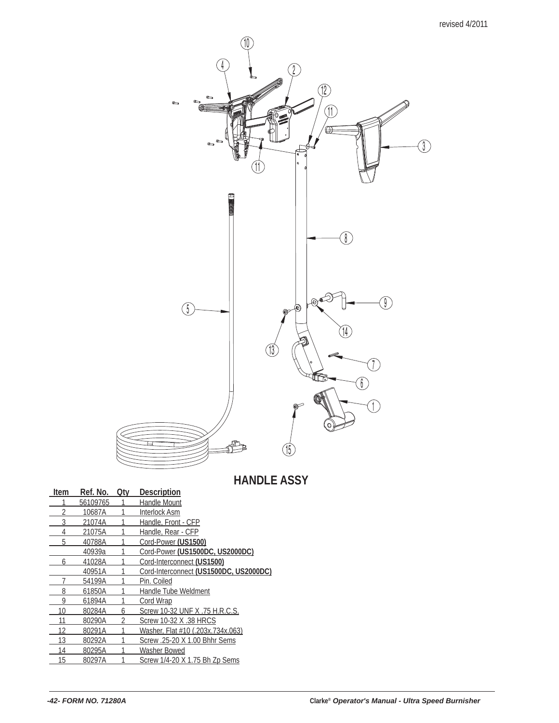

**HANDLE ASSY**

| Item | Ref. No. | Qty | Description                            |
|------|----------|-----|----------------------------------------|
|      | 56109765 |     | Handle Mount                           |
|      | 10687A   |     | Interlock Asm                          |
| 3    | 21074A   |     | Handle, Front - CFP                    |
| 4    | 21075A   |     | Handle, Rear - CFP                     |
| 5    | 40788A   |     | Cord-Power (US1500)                    |
|      | 40939a   |     | Cord-Power (US1500DC, US2000DC)        |
| 6    | 41028A   |     | Cord-Interconnect (US1500)             |
|      | 40951A   |     | Cord-Interconnect (US1500DC, US2000DC) |
|      | 54199A   |     | Pin. Coiled                            |
| 8    | 61850A   |     | Handle Tube Weldment                   |
| 9    | 61894A   |     | Cord Wrap                              |
| 10   | 80284A   | 6   | Screw 10-32 UNF X .75 H.R.C.S.         |
| 11   | 80290A   |     | Screw 10-32 X .38 HRCS                 |
| 12   | 80291A   |     | Washer, Flat #10 (.203x.734x.063)      |
| 13   | 80292A   |     | Screw .25-20 X 1.00 Bhhr Sems          |
| 14   | 80295A   |     | Washer Bowed                           |
| 15   | 80297A   |     | Screw 1/4-20 X 1.75 Bh Zp Sems         |